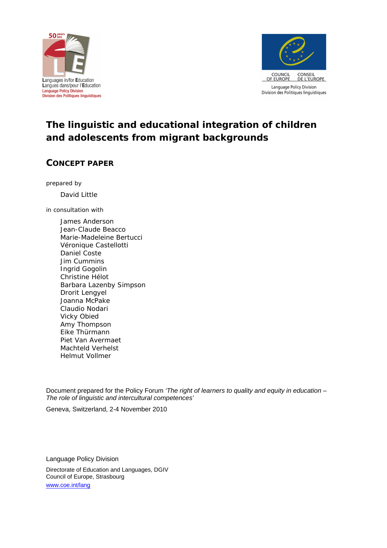



# **The linguistic and educational integration of children and adolescents from migrant backgrounds**

## **CONCEPT PAPER**

prepared by

*David Little*

in consultation with

*James Anderson Jean-Claude Beacco Marie-Madeleine Bertucci Véronique Castellotti Daniel Coste Jim Cummins Ingrid Gogolin Christine Hélot Barbara Lazenby Simpson Drorit Lengyel Joanna McPake Claudio Nodari Vicky Obied Amy Thompson Eike Thürmann Piet Van Avermaet Machteld Verhelst Helmut Vollmer*

Document prepared for the Policy Forum *'The right of learners to quality and equity in education – The role of linguistic and intercultural competences'*

Geneva, Switzerland, 2-4 November 2010

Language Policy Division

Directorate of Education and Languages, DGIV Council of Europe, Strasbourg [www.coe.int/lang](http://www.coe.int/lang)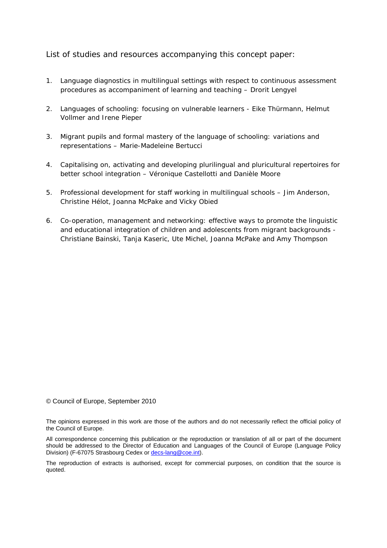List of studies and resources accompanying this concept paper:

- *1.* Language diagnostics in multilingual settings with respect to continuous assessment procedures as accompaniment of learning and teaching *– Drorit Lengyel*
- *2.* Languages of schooling: focusing on vulnerable learners *Eike Thürmann, Helmut Vollmer and Irene Pieper*
- *3.* Migrant pupils and formal mastery of the language of schooling: variations and representations – *Marie-Madeleine Bertucci*
- *4.* Capitalising on, activating and developing plurilingual and pluricultural repertoires for better school integration *– Véronique Castellotti and Danièle Moore*
- *5.* Professional development for staff working in multilingual schools – *Jim Anderson, Christine Hélot, Joanna McPake and Vicky Obied*
- *6.* Co-operation, management and networking: effective ways to promote the linguistic and educational integration of children and adolescents from migrant backgrounds - *Christiane Bainski, Tanja Kaseric, Ute Michel, Joanna McPake and Amy Thompson*

© Council of Europe, September 2010

The opinions expressed in this work are those of the authors and do not necessarily reflect the official policy of the Council of Europe.

All correspondence concerning this publication or the reproduction or translation of all or part of the document should be addressed to the Director of Education and Languages of the Council of Europe (Language Policy Division) (F-67075 Strasbourg Cedex or [decs-lang@coe.int](mailto:decs-lang@coe.int)).

The reproduction of extracts is authorised, except for commercial purposes, on condition that the source is quoted.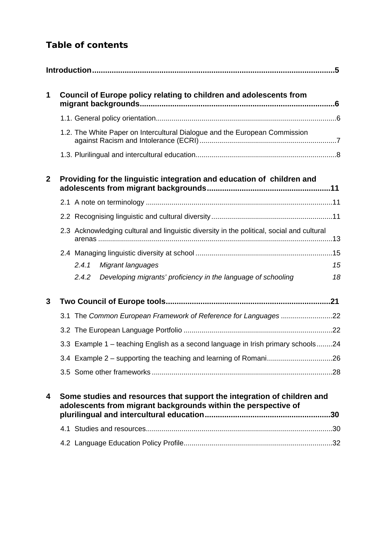## *Table of contents*

| 1            | Council of Europe policy relating to children and adolescents from                                                                        |    |
|--------------|-------------------------------------------------------------------------------------------------------------------------------------------|----|
|              |                                                                                                                                           |    |
|              | 1.2. The White Paper on Intercultural Dialogue and the European Commission                                                                |    |
|              |                                                                                                                                           |    |
| $\mathbf{2}$ | Providing for the linguistic integration and education of children and                                                                    |    |
|              |                                                                                                                                           |    |
|              |                                                                                                                                           |    |
|              | 2.3 Acknowledging cultural and linguistic diversity in the political, social and cultural                                                 |    |
|              |                                                                                                                                           |    |
|              | Migrant languages<br>2.4.1                                                                                                                | 15 |
|              | Developing migrants' proficiency in the language of schooling<br>2.4.2                                                                    | 18 |
| 3            |                                                                                                                                           |    |
|              |                                                                                                                                           |    |
|              |                                                                                                                                           |    |
|              | 3.3 Example 1 - teaching English as a second language in Irish primary schools24                                                          |    |
|              | 3.4 Example 2 - supporting the teaching and learning of Romani26                                                                          |    |
|              |                                                                                                                                           |    |
| 4            | Some studies and resources that support the integration of children and<br>adolescents from migrant backgrounds within the perspective of |    |
|              |                                                                                                                                           |    |
|              |                                                                                                                                           |    |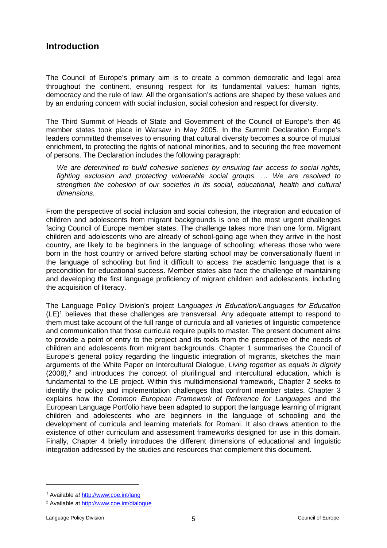## <span id="page-4-0"></span>**Introduction**

The Council of Europe's primary aim is to create a common democratic and legal area throughout the continent, ensuring respect for its fundamental values: human rights, democracy and the rule of law. All the organisation's actions are shaped by these values and by an enduring concern with social inclusion, social cohesion and respect for diversity.

The Third Summit of Heads of State and Government of the Council of Europe's then 46 member states took place in Warsaw in May 2005. In the Summit Declaration Europe's leaders committed themselves to ensuring that cultural diversity becomes a source of mutual enrichment, to protecting the rights of national minorities, and to securing the free movement of persons. The Declaration includes the following paragraph:

*We are determined to build cohesive societies by ensuring fair access to social rights, fighting exclusion and protecting vulnerable social groups. … We are resolved to strengthen the cohesion of our societies in its social, educational, health and cultural dimensions.*

From the perspective of social inclusion and social cohesion, the integration and education of children and adolescents from migrant backgrounds is one of the most urgent challenges facing Council of Europe member states. The challenge takes more than one form. Migrant children and adolescents who are already of school-going age when they arrive in the host country, are likely to be beginners in the language of schooling; whereas those who were born in the host country or arrived before starting school may be conversationally fluent in the language of schooling but find it difficult to access the academic language that is a precondition for educational success. Member states also face the challenge of maintaining and developing the first language proficiency of migrant children and adolescents, including the acquisition of literacy.

The Language Policy Division's project *Languages in Education/Languages for Education*  (LE)<sup>1</sup> believes that these challenges are transversal. Any adequate attempt to respond to them must take account of the full range of curricula and all varieties of linguistic competence and communication that those curricula require pupils to master. The present document aims to provide a point of entry to the project and its tools from the perspective of the needs of children and adolescents from migrant backgrounds. Chapter 1 summarises the Council of Europe's general policy regarding the linguistic integration of migrants, sketches the main arguments of the White Paper on Intercultural Dialogue, *Living together as equals in dignity* (2008),<sup>2</sup> and introduces the concept of plurilingual and intercultural education, which is fundamental to the LE project. Within this multidimensional framework, Chapter 2 seeks to identify the policy and implementation challenges that confront member states. Chapter 3 explains how the *Common European Framework of Reference for Languages* and the European Language Portfolio have been adapted to support the language learning of migrant children and adolescents who are beginners in the language of schooling and the development of curricula and learning materials for Romani. It also draws attention to the existence of other curriculum and assessment frameworks designed for use in this domain. Finally, Chapter 4 briefly introduces the different dimensions of educational and linguistic integration addressed by the studies and resources that complement this document.

*<sup>1</sup>* Available *at* <http://www.coe.int/lang>

<sup>&</sup>lt;sup>2</sup> Available at <http://www.coe.int/dialogue>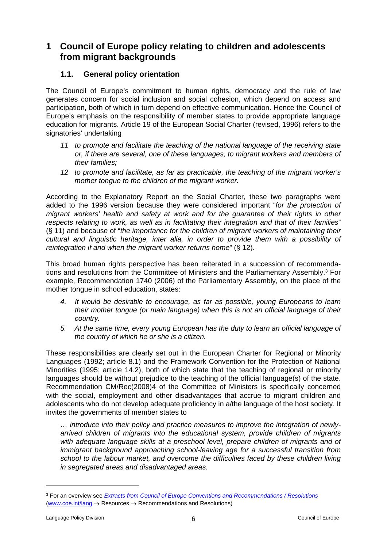## <span id="page-5-0"></span>**1 Council of Europe policy relating to children and adolescents from migrant backgrounds**

### <span id="page-5-1"></span>**1.1. General policy orientation**

The Council of Europe's commitment to human rights, democracy and the rule of law generates concern for social inclusion and social cohesion, which depend on access and participation, both of which in turn depend on effective communication. Hence the Council of Europe's emphasis on the responsibility of member states to provide appropriate language education for migrants. Article 19 of the European Social Charter (revised, 1996) refers to the signatories' undertaking

- *11 to promote and facilitate the teaching of the national language of the receiving state or, if there are several, one of these languages, to migrant workers and members of their families;*
- *12 to promote and facilitate, as far as practicable, the teaching of the migrant worker's mother tongue to the children of the migrant worker.*

According to the Explanatory Report on the Social Charter, these two paragraphs were added to the 1996 version because they were considered important "*for the protection of migrant workers' health and safety at work and for the guarantee of their rights in other respects relating to work, as well as in facilitating their integration and that of their families*" (§ 11) and because of "*the importance for the children of migrant workers of maintaining their cultural and linguistic heritage, inter alia, in order to provide them with a possibility of reintegration if and when the migrant worker returns home*" (§ 12).

This broad human rights perspective has been reiterated in a succession of recommendations and resolutions from the Committee of Ministers and the Parliamentary Assembly.<sup>3</sup> For example, Recommendation 1740 (2006) of the Parliamentary Assembly, on the place of the mother tongue in school education, states:

- *4. It would be desirable to encourage, as far as possible, young Europeans to learn their mother tongue (or main language) when this is not an official language of their country.*
- *5. At the same time, every young European has the duty to learn an official language of the country of which he or she is a citizen.*

These responsibilities are clearly set out in the European Charter for Regional or Minority Languages (1992; article 8.1) and the Framework Convention for the Protection of National Minorities (1995; article 14.2), both of which state that the teaching of regional or minority languages should be without prejudice to the teaching of the official language(s) of the state. Recommendation CM/Rec(2008)4 of the Committee of Ministers is specifically concerned with the social, employment and other disadvantages that accrue to migrant children and adolescents who do not develop adequate proficiency in a/the language of the host society. It invites the governments of member states to

*… introduce into their policy and practice measures to improve the integration of newlyarrived children of migrants into the educational system, provide children of migrants with adequate language skills at a preschool level, prepare children of migrants and of immigrant background approaching school-leaving age for a successful transition from school to the labour market, and overcome the difficulties faced by these children living in segregated areas and disadvantaged areas.*

<sup>3</sup> For an overview see *[Extracts from Council of Europe Conventions and Recommendations / Resolutions](http://www.coe.int/t/dg4/linguistic/migrants2_EN.asp?)* ([www.coe.int/lang](http://www.coe.int/lang)  $\rightarrow$  Resources  $\rightarrow$  Recommendations and Resolutions)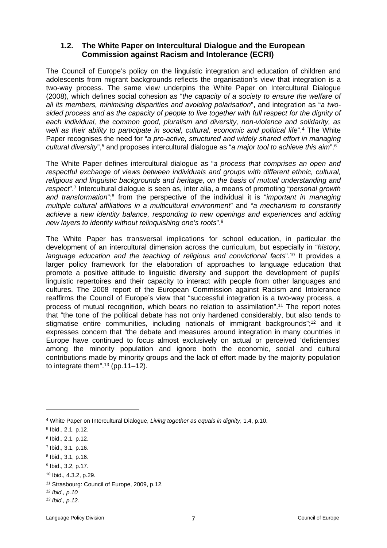#### <span id="page-6-0"></span>**1.2. The White Paper on Intercultural Dialogue and the European Commission against Racism and Intolerance (ECRI)**

The Council of Europe's policy on the linguistic integration and education of children and adolescents from migrant backgrounds reflects the organisation's view that integration is a two-way process. The same view underpins the White Paper on Intercultural Dialogue (2008), which defines social cohesion as "*the capacity of a society to ensure the welfare of all its members, minimising disparities and avoiding polarisation*", and integration as "*a twosided process and as the capacity of people to live together with full respect for the dignity of each individual, the common good, pluralism and diversity, non-violence and solidarity, as*  well as their ability to participate in social, cultural, economic and political life".<sup>4</sup> The White Paper recognises the need for "*a pro-active, structured and widely shared effort in managing*  cultural diversity",<sup>5</sup> and proposes intercultural dialogue as "a major tool to achieve this aim".<sup>6</sup>

The White Paper defines intercultural dialogue as "*a process that comprises an open and respectful exchange of views between individuals and groups with different ethnic, cultural, religious and linguistic backgrounds and heritage, on the basis of mutual understanding and respect*".<sup>7</sup> Intercultural dialogue is seen as, inter alia, a means of promoting "*personal growth*  and transformation";<sup>8</sup> from the perspective of the individual it is "*important in managing multiple cultural affiliations in a multicultural environment*" and "*a mechanism to constantly achieve a new identity balance, responding to new openings and experiences and adding new layers to identity without relinquishing one's roots*".<sup>9</sup>

The White Paper has transversal implications for school education, in particular the development of an intercultural dimension across the curriculum, but especially in "*history, language education and the teaching of religious and convictional facts*".<sup>10</sup> It provides a larger policy framework for the elaboration of approaches to language education that promote a positive attitude to linguistic diversity and support the development of pupils' linguistic repertoires and their capacity to interact with people from other languages and cultures. The 2008 report of the European Commission against Racism and Intolerance reaffirms the Council of Europe's view that "successful integration is a two-way process, a process of mutual recognition, which bears no relation to assimilation".<sup>11</sup> The report notes that "the tone of the political debate has not only hardened considerably, but also tends to stigmatise entire communities, including nationals of immigrant backgrounds";<sup>12</sup> and it expresses concern that "the debate and measures around integration in many countries in Europe have continued to focus almost exclusively on actual or perceived 'deficiencies' among the minority population and ignore both the economic, social and cultural contributions made by minority groups and the lack of effort made by the majority population to integrate them".<sup>13</sup> (pp.11–12).

<sup>4</sup> White Paper on Intercultural Dialogue, *Living together as equals in dignity*, 1.4, p.10.

<sup>5</sup> Ibid., 2.1, p.12.

<sup>6</sup> Ibid., 2.1, p.12.

<sup>7</sup> Ibid., 3.1, p.16.

<sup>8</sup> Ibid., 3.1, p.16.

<sup>9</sup> Ibid., 3.2, p.17.

<sup>10</sup> Ibid., 4.3.2, p.29.

*<sup>11</sup>* Strasbourg: Council of Europe, 2009, p.12.

*<sup>12</sup> Ibid., p.10*

*<sup>13</sup> Ibid., p.12.*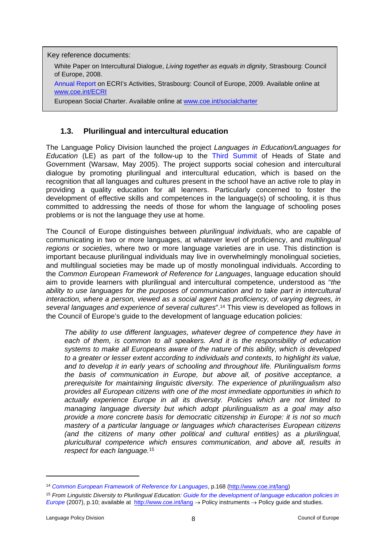Key reference documents:

White Paper on Intercultural Dialogue, *Living together as equals in dignity*, Strasbourg: Council of Europe, 2008.

[Annual Report](http://www.coe.int/t/dghl/monitoring/ecri/activities/annual%20report%202008.pdf) on ECRI's Activities, Strasbourg: Council of Europe, 2009. Available online at [www.coe.int/ECRI](http://www.coe.int/ECRI)

European Social Charter. Available online at www.coe.int/socialcharter

### <span id="page-7-0"></span>**1.3. Plurilingual and intercultural education**

The Language Policy Division launched the project *Languages in Education/Languages for Education* (LE) as part of the follow-up to the [Third Summit](http://www.coe.int/t/dcr/summit/20050517_decl_varsovie_EN.asp) of Heads of State and Government (Warsaw, May 2005). The project supports social cohesion and intercultural dialogue by promoting plurilingual and intercultural education, which is based on the recognition that all languages and cultures present in the school have an active role to play in providing a quality education for all learners. Particularly concerned to foster the development of effective skills and competences in the language(s) of schooling, it is thus committed to addressing the needs of those for whom the language of schooling poses problems or is not the language they use at home.

The Council of Europe distinguishes between *plurilingual individuals*, who are capable of communicating in two or more languages, at whatever level of proficiency, and *multilingual regions or societies*, where two or more language varieties are in use. This distinction is important because plurilingual individuals may live in overwhelmingly monolingual societies, and multilingual societies may be made up of mostly monolingual individuals. According to the *Common European Framework of Reference for Languages*, language education should aim to provide learners with plurilingual and intercultural competence, understood as "*the ability to use languages for the purposes of communication and to take part in intercultural interaction, where a person, viewed as a social agent has proficiency, of varying degrees, in several languages and experience of several cultures*".<sup>14</sup> This view is developed as follows in the Council of Europe's guide to the development of language education policies:

*The ability to use different languages, whatever degree of competence they have in each of them, is common to all speakers. And it is the responsibility of education systems to make all Europeans aware of the nature of this ability, which is developed to a greater or lesser extent according to individuals and contexts, to highlight its value, and to develop it in early years of schooling and throughout life. Plurilingualism forms the basis of communication in Europe, but above all, of positive acceptance, a prerequisite for maintaining linguistic diversity. The experience of plurilingualism also provides all European citizens with one of the most immediate opportunities in which to actually experience Europe in all its diversity. Policies which are not limited to managing language diversity but which adopt plurilingualism as a goal may also provide a more concrete basis for democratic citizenship in Europe: it is not so much mastery of a particular language or languages which characterises European citizens (and the citizens of many other political and cultural entities) as a plurilingual, pluricultural competence which ensures communication, and above all, results in respect for each language.*<sup>15</sup>

<sup>14</sup> *[Common European Framework of Reference for Languages](http://www.coe.int/t/dg4/linguistic/Source/Framework_EN.pdf)*, p.168 (<http://www.coe.int/lang>)

<sup>15</sup> *From Linguistic Diversity to Plurilingual Education: [Guide for the development of language education policies in](http://www.coe.int/t/dg4/linguistic/Guide_niveau3_EN.asp#TopOfPage)  [Europe](http://www.coe.int/t/dg4/linguistic/Guide_niveau3_EN.asp#TopOfPage)* (2007), p.10; available at <http://www.coe.int/lang> → Policy instruments → Policy guide and studies.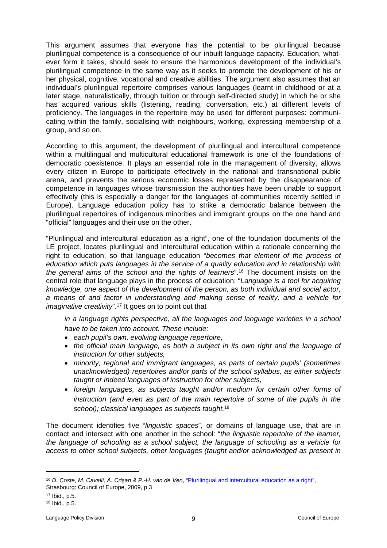This argument assumes that everyone has the potential to be plurilingual because plurilingual competence is a consequence of our inbuilt language capacity. Education, whatever form it takes, should seek to ensure the harmonious development of the individual's plurilingual competence in the same way as it seeks to promote the development of his or her physical, cognitive, vocational and creative abilities. The argument also assumes that an individual's plurilingual repertoire comprises various languages (learnt in childhood or at a later stage, naturalistically, through tuition or through self-directed study) in which he or she has acquired various skills (listening, reading, conversation, etc.) at different levels of proficiency. The languages in the repertoire may be used for different purposes: communicating within the family, socialising with neighbours, working, expressing membership of a group, and so on.

According to this argument, the development of plurilingual and intercultural competence within a multilingual and multicultural educational framework is one of the foundations of democratic coexistence. It plays an essential role in the management of diversity, allows every citizen in Europe to participate effectively in the national and transnational public arena, and prevents the serious economic losses represented by the disappearance of competence in languages whose transmission the authorities have been unable to support effectively (this is especially a danger for the languages of communities recently settled in Europe). Language education policy has to strike a democratic balance between the plurilingual repertoires of indigenous minorities and immigrant groups on the one hand and "official" languages and their use on the other.

"Plurilingual and intercultural education as a right", one of the foundation documents of the LE project, locates plurilingual and intercultural education within a rationale concerning the right to education, so that language education "*becomes that element of the process of education which puts languages in the service of a quality education and in relationship with the general aims of the school and the rights of learners*".<sup>16</sup> The document insists on the central role that language plays in the process of education: "*Language is a tool for acquiring knowledge, one aspect of the development of the person, as both individual and social actor, a means of and factor in understanding and making sense of reality, and a vehicle for imaginative creativity*".<sup>17</sup> It goes on to point out that

*in a language rights perspective, all the languages and language varieties in a school have to be taken into account. These include:*

- *each pupil's own, evolving language repertoire,*
- *the official main language, as both a subject in its own right and the language of instruction for other subjects,*
- *minority, regional and immigrant languages, as parts of certain pupils' (sometimes unacknowledged) repertoires and/or parts of the school syllabus, as either subjects taught or indeed languages of instruction for other subjects,*
- *foreign languages, as subjects taught and/or medium for certain other forms of instruction (and even as part of the main repertoire of some of the pupils in the school); classical languages as subjects taught.*<sup>18</sup>

The document identifies five "*linguistic spaces*", or domains of language use, that are in contact and intersect with one another in the school: "*the linguistic repertoire of the learner, the language of schooling as a school subject, the language of schooling as a vehicle for access to other school subjects, other languages (taught and/or acknowledged as present in* 

<sup>16</sup> *D. Coste, M. Cavalli, A. Crişan & P.-H. van de Ven*, ["Plurilingual and intercultural education as a right"](http://www.coe.int/t/dg4/linguistic/langeduc/BoxB-Learner_en.asp), Strasbourg: Council of Europe, 2009, p.3

<sup>17</sup> Ibid., p.5.

<sup>18</sup> Ibid., p.5.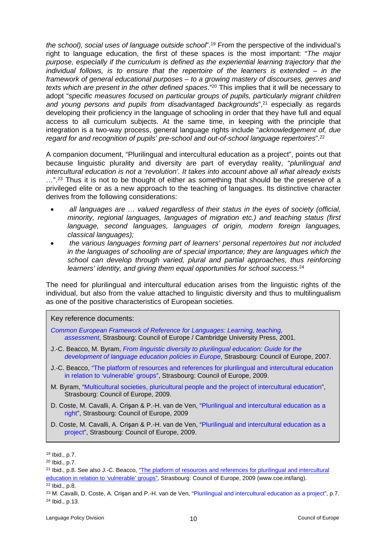*the school), social uses of language outside school*".<sup>19</sup> From the perspective of the individual's right to language education, the first of these spaces is the most important: "*The major purpose, especially if the curriculum is defined as the experiential learning trajectory that the individual follows, is to ensure that the repertoire of the learners is extended – in the framework of general educational purposes – to a growing mastery of discourses, genres and texts which are present in the other defined spaces*."<sup>20</sup> This implies that it will be necessary to adopt "*specific measures focused on particular groups of pupils, particularly migrant children*  and young persons and pupils from disadvantaged backgrounds<sup>", 21</sup> especially as regards developing their proficiency in the language of schooling in order that they have full and equal access to all curriculum subjects. At the same time, in keeping with the principle that integration is a two-way process, general language rights include "*acknowledgement of, due regard for and recognition of pupils' pre-school and out-of-school language repertoires*".<sup>22</sup>

A companion document, "Plurilingual and intercultural education as a project", points out that because linguistic plurality and diversity are part of everyday reality, "*plurilingual and intercultural education is not a 'revolution'. It takes into account above all what already exists …*".<sup>23</sup> Thus it is not to be thought of either as something that should be the preserve of a privileged elite or as a new approach to the teaching of languages. Its distinctive character derives from the following considerations:

- *all languages are … valued regardless of their status in the eyes of society (official, minority, regional languages, languages of migration etc.) and teaching status (first language, second languages, languages of origin, modern foreign languages, classical languages);*
- *the various languages forming part of learners' personal repertoires but not included in the languages of schooling are of special importance; they are languages which the school can develop through varied, plural and partial approaches, thus reinforcing learners' identity, and giving them equal opportunities for school success.*<sup>24</sup>

The need for plurilingual and intercultural education arises from the linguistic rights of the individual, but also from the value attached to linguistic diversity and thus to multilingualism as one of the positive characteristics of European societies.

#### Key reference documents:

- *[Common European Framework of Reference for Languages: Learning, teaching,](http://www.coe.int/t/dg4/linguistic/CADRE_EN.asp)  [assessment](http://www.coe.int/t/dg4/linguistic/CADRE_EN.asp)*, Strasbourg: Council of Europe / Cambridge University Press, 2001.
- J.-C. Beacco, M. Byram, *[From linguistic diversity to plurilingual education: Guide for the](http://www.coe.int/t/dg4/linguistic/Guide_niveau3_EN.asp#TopOfPage)  [development of language education policies in Europe](http://www.coe.int/t/dg4/linguistic/Guide_niveau3_EN.asp#TopOfPage)*, Strasbourg: Council of Europe, 2007.
- J.-C. Beacco, ["The platform of resources and references for plurilingual and intercultural education](http://www.coe.int/t/dg4/linguistic/langeduc/BoxC2-Schooling_en.asp)  [in relation to 'vulnerable' groups",](http://www.coe.int/t/dg4/linguistic/langeduc/BoxC2-Schooling_en.asp) Strasbourg: Council of Europe, 2009.
- M. Byram, "[Multicultural societies, pluricultural people and the project of intercultural education"](http://www.coe.int/t/dg4/linguistic/Source/LE_texts_Source/Multicult-InterculturalEduc_en.doc), Strasbourg: Council of Europe, 2009.
- D. Coste, M. Cavalli, A. Crişan & P.-H. van de Ven, ["Plurilingual and intercultural education as a](http://www.coe.int/t/dg4/linguistic/Source/LE_texts_Source/EducPlurInter-Droit_en.doc)  [right"](http://www.coe.int/t/dg4/linguistic/Source/LE_texts_Source/EducPlurInter-Droit_en.doc), Strasbourg: Council of Europe, 2009
- D. Coste, M. Cavalli, A. Crişan & P.-H. van de Ven, ["Plurilingual and intercultural education as a](http://www.coe.int/t/dg4/linguistic/Source/LE_texts_Source/EducPlurInter-Projet_en.doc)  [project](http://www.coe.int/t/dg4/linguistic/Source/LE_texts_Source/EducPlurInter-Projet_en.doc)", Strasbourg: Council of Europe, 2009.

<sup>19</sup> Ibid., p.7.

<sup>20</sup> Ibid., p.7.

<sup>21</sup> Ibid., p.8. See also J.-C. Beacco, ["The platform of resources and references for plurilingual and intercultural](http://www.coe.int/t/dg4/linguistic/langeduc/BoxC2-Schooling_en.asp)  [education in relation to 'vulnerable' groups",](http://www.coe.int/t/dg4/linguistic/langeduc/BoxC2-Schooling_en.asp) Strasbourg: Council of Europe, 2009 (www.coe.int/lang).

<sup>22</sup> Ibid., p.8.

<sup>&</sup>lt;sup>23</sup> M. Cavalli, D. Coste, A. Crișan and P.-H. van de Ven, ["Plurilingual and intercultural education as a project](http://www.coe.int/t/dg4/linguistic/Source/LE_texts_Source/EducPlurInter-Projet_en.doc)", p.7. <sup>24</sup> Ibid., p.13.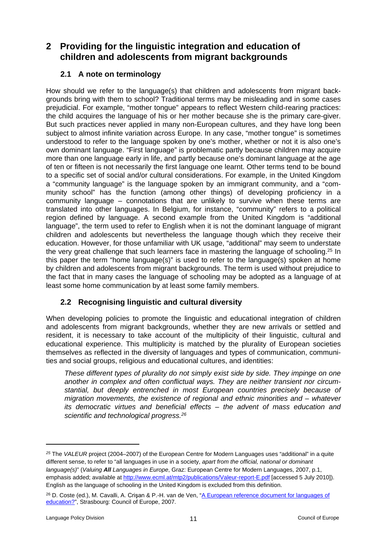## <span id="page-10-0"></span>**2 Providing for the linguistic integration and education of children and adolescents from migrant backgrounds**

### <span id="page-10-1"></span>**2.1 A note on terminology**

How should we refer to the language(s) that children and adolescents from migrant backgrounds bring with them to school? Traditional terms may be misleading and in some cases prejudicial. For example, "mother tongue" appears to reflect Western child-rearing practices: the child acquires the language of his or her mother because she is the primary care-giver. But such practices never applied in many non-European cultures, and they have long been subject to almost infinite variation across Europe. In any case, "mother tongue" is sometimes understood to refer to the language spoken by one's mother, whether or not it is also one's own dominant language. "First language" is problematic partly because children may acquire more than one language early in life, and partly because one's dominant language at the age of ten or fifteen is not necessarily the first language one learnt. Other terms tend to be bound to a specific set of social and/or cultural considerations. For example, in the United Kingdom a "community language" is the language spoken by an immigrant community, and a "community school" has the function (among other things) of developing proficiency in a community language – connotations that are unlikely to survive when these terms are translated into other languages. In Belgium, for instance, "community" refers to a political region defined by language. A second example from the United Kingdom is "additional language", the term used to refer to English when it is not the dominant language of migrant children and adolescents but nevertheless the language though which they receive their education. However, for those unfamiliar with UK usage, "additional" may seem to understate the very great challenge that such learners face in mastering the language of schooling.<sup>25</sup> In this paper the term "home language(s)" is used to refer to the language(s) spoken at home by children and adolescents from migrant backgrounds. The term is used without prejudice to the fact that in many cases the language of schooling may be adopted as a language of at least some home communication by at least some family members.

## <span id="page-10-2"></span>**2.2 Recognising linguistic and cultural diversity**

When developing policies to promote the linguistic and educational integration of children and adolescents from migrant backgrounds, whether they are new arrivals or settled and resident, it is necessary to take account of the multiplicity of their linguistic, cultural and educational experience. This multiplicity is matched by the plurality of European societies themselves as reflected in the diversity of languages and types of communication, communities and social groups, religious and educational cultures, and identities:

*These different types of plurality do not simply exist side by side. They impinge on one another in complex and often conflictual ways. They are neither transient nor circumstantial, but deeply entrenched in most European countries precisely because of migration movements, the existence of regional and ethnic minorities and – whatever its democratic virtues and beneficial effects – the advent of mass education and scientific and technological progress.<sup>26</sup>*

*<sup>25</sup>* The *VALEUR* project (2004–2007) of the European Centre for Modern Languages uses "additional" in a quite different sense, to refer to "all languages in use in a society, *apart from the official, national or dominant language(s)*" (*Valuing All Languages in Europe*, Graz: European Centre for Modern Languages, 2007, p.1, emphasis added; available at <http://www.ecml.at/mtp2/publications/Valeur-report-E.pdf> [accessed 5 July 2010]). English as the language of schooling in the United Kingdom is excluded from this definition.

<sup>&</sup>lt;sup>26</sup> D. Coste (ed.), M. Cavalli, A. Crisan & P.-H. van de Ven, "A European reference document for languages of [education?"](http://www.coe.int/t/dg4/linguistic/Source/prag07-LPE_DocEurRef_Intro_DCed_EN.doc), Strasbourg: Council of Europe, 2007.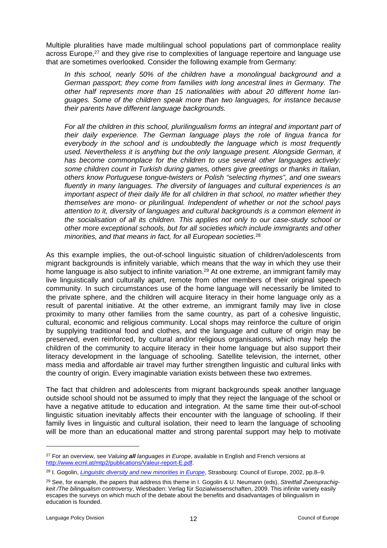Multiple pluralities have made multilingual school populations part of commonplace reality across Europe,<sup>27</sup> and they give rise to complexities of language repertoire and language use that are sometimes overlooked. Consider the following example from Germany:

*In this school, nearly 50% of the children have a monolingual background and a German passport; they come from families with long ancestral lines in Germany. The other half represents more than 15 nationalities with about 20 different home languages. Some of the children speak more than two languages, for instance because their parents have different language backgrounds.*

*For all the children in this school, plurilingualism forms an integral and important part of their daily experience. The German language plays the role of lingua franca for everybody in the school and is undoubtedly the language which is most frequently used. Nevertheless it is anything but the only language present. Alongside German, it has become commonplace for the children to use several other languages actively: some children count in Turkish during games, others give greetings or thanks in Italian, others know Portuguese tongue-twisters or Polish "selecting rhymes", and one swears fluently in many languages. The diversity of languages and cultural experiences is an important aspect of their daily life for all children in that school, no matter whether they themselves are mono- or plurilingual. Independent of whether or not the school pays attention to it, diversity of languages and cultural backgrounds is a common element in the socialisation of all its children. This applies not only to our case-study school or other more exceptional schools, but for all societies which include immigrants and other minorities, and that means in fact, for all European societies.*<sup>28</sup>

As this example implies, the out-of-school linguistic situation of children/adolescents from migrant backgrounds is infinitely variable, which means that the way in which they use their home language is also subject to infinite variation.<sup>29</sup> At one extreme, an immigrant family may live linguistically and culturally apart, remote from other members of their original speech community. In such circumstances use of the home language will necessarily be limited to the private sphere, and the children will acquire literacy in their home language only as a result of parental initiative. At the other extreme, an immigrant family may live in close proximity to many other families from the same country, as part of a cohesive linguistic, cultural, economic and religious community. Local shops may reinforce the culture of origin by supplying traditional food and clothes, and the language and culture of origin may be preserved, even reinforced, by cultural and/or religious organisations, which may help the children of the community to acquire literacy in their home language but also support their literacy development in the language of schooling. Satellite television, the internet, other mass media and affordable air travel may further strengthen linguistic and cultural links with the country of origin. Every imaginable variation exists between these two extremes.

The fact that children and adolescents from migrant backgrounds speak another language outside school should not be assumed to imply that they reject the language of the school or have a negative attitude to education and integration. At the same time their out-of-school linguistic situation inevitably affects their encounter with the language of schooling. If their family lives in linguistic and cultural isolation, their need to learn the language of schooling will be more than an educational matter and strong parental support may help to motivate

<sup>27</sup> For an overview, see *Valuing all languages in Europe*, available in English and French versions at [http://www.ecml.at/mtp2/publications/Valeur-report-E.pdf.](http://www.ecml.at/mtp2/publications/Valeur-report-E.pdf)

<sup>28</sup> I. Gogolin, *[Linguistic diversity and new minorities in Europe](http://www.coe.int/T/DG4/Linguistic/Source/GogolinEN.pdf)*, Strasbourg: Council of Europe, 2002, pp.8–9.

<sup>29</sup> See, for example, the papers that address this theme in I. Gogolin & U. Neumann (eds), *Streitfall Zweisprachigkeit /The bilingualism controversy*, Wiesbaden: Verlag für Sozialwissenschaften, 2009. This infinite variety easily escapes the surveys on which much of the debate about the benefits and disadvantages of bilingualism in education is founded.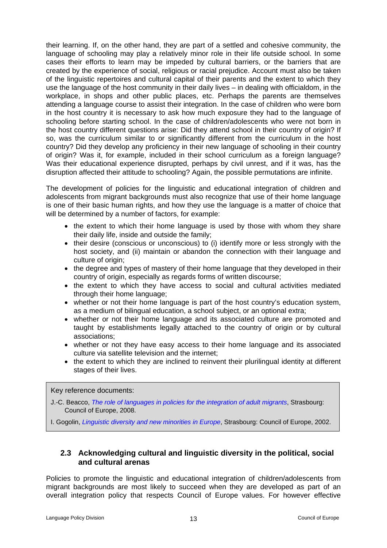their learning. If, on the other hand, they are part of a settled and cohesive community, the language of schooling may play a relatively minor role in their life outside school. In some cases their efforts to learn may be impeded by cultural barriers, or the barriers that are created by the experience of social, religious or racial prejudice. Account must also be taken of the linguistic repertoires and cultural capital of their parents and the extent to which they use the language of the host community in their daily lives – in dealing with officialdom, in the workplace, in shops and other public places, etc. Perhaps the parents are themselves attending a language course to assist their integration. In the case of children who were born in the host country it is necessary to ask how much exposure they had to the language of schooling before starting school. In the case of children/adolescents who were not born in the host country different questions arise: Did they attend school in their country of origin? If so, was the curriculum similar to or significantly different from the curriculum in the host country? Did they develop any proficiency in their new language of schooling in their country of origin? Was it, for example, included in their school curriculum as a foreign language? Was their educational experience disrupted, perhaps by civil unrest, and if it was, has the disruption affected their attitude to schooling? Again, the possible permutations are infinite.

The development of policies for the linguistic and educational integration of children and adolescents from migrant backgrounds must also recognize that use of their home language is one of their basic human rights, and how they use the language is a matter of choice that will be determined by a number of factors, for example:

- the extent to which their home language is used by those with whom they share their daily life, inside and outside the family;
- their desire (conscious or unconscious) to (i) identify more or less strongly with the host society, and (ii) maintain or abandon the connection with their language and culture of origin;
- the degree and types of mastery of their home language that they developed in their country of origin, especially as regards forms of written discourse;
- the extent to which they have access to social and cultural activities mediated through their home language;
- whether or not their home language is part of the host country's education system, as a medium of bilingual education, a school subject, or an optional extra;
- whether or not their home language and its associated culture are promoted and taught by establishments legally attached to the country of origin or by cultural associations;
- whether or not they have easy access to their home language and its associated culture via satellite television and the internet;
- the extent to which they are inclined to reinvent their plurilingual identity at different stages of their lives.

Key reference documents:

J.-C. Beacco, *[The role of languages in policies for the integration of adult migrants](http://www.coe.int/t/dg4/linguistic/Source/Migrants_ConceptPaper_EN.doc)*, Strasbourg: Council of Europe, 2008.

I. Gogolin, *[Linguistic diversity and new minorities in Europe](http://www.coe.int/T/DG4/Linguistic/Source/GogolinEN.pdf)*, Strasbourg: Council of Europe, 2002.

#### <span id="page-12-0"></span>**2.3 Acknowledging cultural and linguistic diversity in the political, social and cultural arenas**

Policies to promote the linguistic and educational integration of children/adolescents from migrant backgrounds are most likely to succeed when they are developed as part of an overall integration policy that respects Council of Europe values. For however effective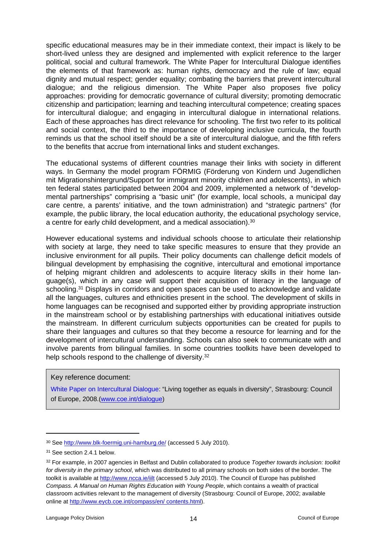specific educational measures may be in their immediate context, their impact is likely to be short-lived unless they are designed and implemented with explicit reference to the larger political, social and cultural framework. The White Paper for Intercultural Dialogue identifies the elements of that framework as: human rights, democracy and the rule of law; equal dignity and mutual respect; gender equality; combating the barriers that prevent intercultural dialogue; and the religious dimension. The White Paper also proposes five policy approaches: providing for democratic governance of cultural diversity; promoting democratic citizenship and participation; learning and teaching intercultural competence; creating spaces for intercultural dialogue; and engaging in intercultural dialogue in international relations. Each of these approaches has direct relevance for schooling. The first two refer to its political and social context, the third to the importance of developing inclusive curricula, the fourth reminds us that the school itself should be a site of intercultural dialogue, and the fifth refers to the benefits that accrue from international links and student exchanges.

The educational systems of different countries manage their links with society in different ways. In Germany the model program FÖRMIG (Förderung von Kindern und Jugendlichen mit Migrationshintergrund/Support for immigrant minority children and adolescents), in which ten federal states participated between 2004 and 2009, implemented a network of "developmental partnerships" comprising a "basic unit" (for example, local schools, a municipal day care centre, a parents' initiative, and the town administration) and "strategic partners" (for example, the public library, the local education authority, the educational psychology service, a centre for early child development, and a medical association).<sup>30</sup>

However educational systems and individual schools choose to articulate their relationship with society at large, they need to take specific measures to ensure that they provide an inclusive environment for all pupils. Their policy documents can challenge deficit models of bilingual development by emphasising the cognitive, intercultural and emotional importance of helping migrant children and adolescents to acquire literacy skills in their home language(s), which in any case will support their acquisition of literacy in the language of schooling.<sup>31</sup> Displays in corridors and open spaces can be used to acknowledge and validate all the languages, cultures and ethnicities present in the school. The development of skills in home languages can be recognised and supported either by providing appropriate instruction in the mainstream school or by establishing partnerships with educational initiatives outside the mainstream. In different curriculum subjects opportunities can be created for pupils to share their languages and cultures so that they become a resource for learning and for the development of intercultural understanding. Schools can also seek to communicate with and involve parents from bilingual families. In some countries toolkits have been developed to help schools respond to the challenge of diversity.<sup>32</sup>

Key reference document:

[White Paper on Intercultural Dialogue](http://www.coe.int/T/dg4/intercultural/Source/Pub_White_Paper/White%20Paper_final_revised_EN.pdf): "Living together as equals in diversity", Strasbourg: Council of Europe, 2008.[\(www.coe.int/dialogue\)](http://www.coe.int/dialogue)

<sup>&</sup>lt;sup>30</sup> See <http://www.blk-foermig.uni-hamburg.de/>(accessed 5 July 2010).

<sup>31</sup> See section 2.4.1 below.

<sup>32</sup> For example, in 2007 agencies in Belfast and Dublin collaborated to produce *Together towards inclusion: toolkit for diversity in the primary school*, which was distributed to all primary schools on both sides of the border. The toolkit is available at <http://www.ncca.ie/iilt>(accessed 5 July 2010). The Council of Europe has published *Compass. A Manual on Human Rights Education with Young People*, which contains a wealth of practical classroom activities relevant to the management of diversity (Strasbourg: Council of Europe, 2002; available online at [http://www.eycb.coe.int/compass/en/ contents.html\)](http://www.eycb.coe.int/compass/en/%20contents.html).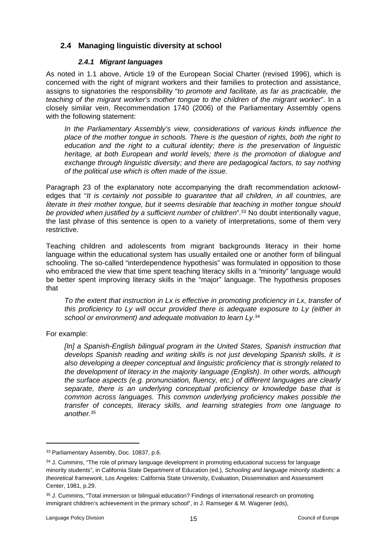### <span id="page-14-0"></span>**2.4 Managing linguistic diversity at school**

#### <span id="page-14-1"></span>*2.4.1 Migrant languages*

As noted in 1.1 above, Article 19 of the European Social Charter (revised 1996), which is concerned with the right of migrant workers and their families to protection and assistance, assigns to signatories the responsibility "*to promote and facilitate, as far as practicable, the teaching of the migrant worker's mother tongue to the children of the migrant worker*". In a closely similar vein, Recommendation 1740 (2006) of the Parliamentary Assembly opens with the following statement:

*In the Parliamentary Assembly's view, considerations of various kinds influence the place of the mother tongue in schools. There is the question of rights, both the right to education and the right to a cultural identity; there is the preservation of linguistic heritage, at both European and world levels; there is the promotion of dialogue and exchange through linguistic diversity; and there are pedagogical factors, to say nothing of the political use which is often made of the issue.* 

Paragraph 23 of the explanatory note accompanying the draft recommendation acknowledges that "*It is certainly not possible to guarantee that all children, in all countries, are literate in their mother tongue, but it seems desirable that teaching in mother tongue should be provided when justified by a sufficient number of children*".<sup>33</sup> No doubt intentionally vague, the last phrase of this sentence is open to a variety of interpretations, some of them very restrictive.

Teaching children and adolescents from migrant backgrounds literacy in their home language within the educational system has usually entailed one or another form of bilingual schooling. The so-called "interdependence hypothesis" was formulated in opposition to those who embraced the view that time spent teaching literacy skills in a "minority" language would be better spent improving literacy skills in the "major" language. The hypothesis proposes that

*To the extent that instruction in Lx is effective in promoting proficiency in Lx, transfer of this proficiency to Ly will occur provided there is adequate exposure to Ly (either in school or environment) and adequate motivation to learn Ly.*<sup>34</sup>

For example:

*[In] a Spanish-English bilingual program in the United States, Spanish instruction that develops Spanish reading and writing skills is not just developing Spanish skills, it is also developing a deeper conceptual and linguistic proficiency that is strongly related to the development of literacy in the majority language (English). In other words, although the surface aspects (e.g. pronunciation, fluency, etc.) of different languages are clearly separate, there is an underlying conceptual proficiency or knowledge base that is common across languages. This common underlying proficiency makes possible the transfer of concepts, literacy skills, and learning strategies from one language to another.<sup>35</sup>*

<sup>33</sup> Parliamentary Assembly, Doc. 10837, p.6.

<sup>&</sup>lt;sup>34</sup> J. Cummins, "The role of primary language development in promoting educational success for language minority students", in California State Department of Education (ed.), *Schooling and language minority students: a theoretical framework*, Los Angeles: California State University, Evaluation, Dissemination and Assessment Center, 1981, p.29.

<sup>35</sup> J. Cummins, "Total immersion or bilingual education? Findings of international research on promoting immigrant children's achievement in the primary school", in J. Ramseger & M. Wagener (eds),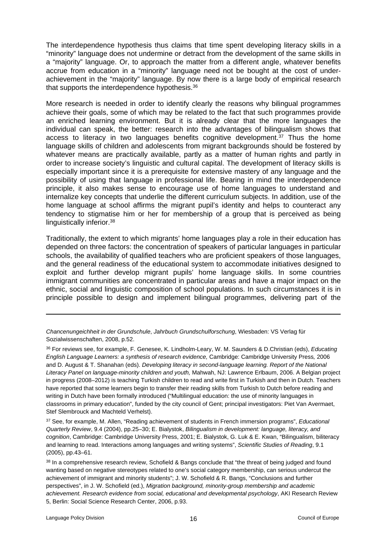The interdependence hypothesis thus claims that time spent developing literacy skills in a "minority" language does not undermine or detract from the development of the same skills in a "majority" language. Or, to approach the matter from a different angle, whatever benefits accrue from education in a "minority" language need not be bought at the cost of underachievement in the "majority" language. By now there is a large body of empirical research that supports the interdependence hypothesis.<sup>36</sup>

More research is needed in order to identify clearly the reasons why bilingual programmes achieve their goals, some of which may be related to the fact that such programmes provide an enriched learning environment. But it is already clear that the more languages the individual can speak, the better: research into the advantages of bilingualism shows that access to literacy in two languages benefits cognitive development.<sup>37</sup> Thus the home language skills of children and adolescents from migrant backgrounds should be fostered by whatever means are practically available, partly as a matter of human rights and partly in order to increase society's linguistic and cultural capital. The development of literacy skills is especially important since it is a prerequisite for extensive mastery of any language and the possibility of using that language in professional life. Bearing in mind the interdependence principle, it also makes sense to encourage use of home languages to understand and internalize key concepts that underlie the different curriculum subjects. In addition, use of the home language at school affirms the migrant pupil's identity and helps to counteract any tendency to stigmatise him or her for membership of a group that is perceived as being linguistically inferior.<sup>38</sup>

Traditionally, the extent to which migrants' home languages play a role in their education has depended on three factors: the concentration of speakers of particular languages in particular schools, the availability of qualified teachers who are proficient speakers of those languages, and the general readiness of the educational system to accommodate initiatives designed to exploit and further develop migrant pupils' home language skills. In some countries immigrant communities are concentrated in particular areas and have a major impact on the ethnic, social and linguistic composition of school populations. In such circumstances it is in principle possible to design and implement bilingual programmes, delivering part of the

*Chancenungeichheit in der Grundschule*, *Jahrbuch Grundschulforschung*, Wiesbaden: VS Verlag für Sozialwissenschaften, 2008, p.52.

<sup>36</sup> For reviews see, for example, F. Genesee, K. Lindholm-Leary, W. M. Saunders & D.Christian (eds), *Educating English Language Learners: a synthesis of research evidence,* Cambridge: Cambridge University Press*,* 2006 and D. August & T. Shanahan (eds). *Developing literacy in second-language learning. Report of the National Literacy Panel on language-minority children and youth,* Mahwah, NJ: Lawrence Erlbaum, 2006. A Belgian project in progress (2008–2012) is teaching Turkish children to read and write first in Turkish and then in Dutch. Teachers have reported that some learners begin to transfer their reading skills from Turkish to Dutch before reading and writing in Dutch have been formally introduced ("Multilingual education: the use of minority languages in classrooms in primary education", funded by the city council of Gent; principal investigators: Piet Van Avermaet, Stef Slembrouck and Machteld Verhelst).

<sup>37</sup> See, for example, M. Allen, "Reading achievement of students in French immersion programs", *Educational Quarterly Review*, 9.4 (2004), pp.25–30; E. Bialystok, *Bilingualism in development: language, literacy, and cognition*, Cambridge: Cambridge University Press, 2001; E. Bialystok, G. Luk & E. Kwan, "Bilingualism, biliteracy and learning to read. Interactions among languages and writing systems", *Scientific Studies of Reading*, 9.1 (2005), pp.43–61.

<sup>38</sup> In a comprehensive research review, Schofield & Bangs conclude that "the threat of being judged and found wanting based on negative stereotypes related to one's social category membership, can serious undercut the achievement of immigrant and minority students"; J. W. Schofield & R. Bangs, "Conclusions and further perspectives", in J. W. Schofield (ed.), *Migration background, minority-group membership and academic achievement. Research evidence from social, educational and developmental psychology*, AKI Research Review 5, Berlin: Social Science Research Center, 2006, p.93.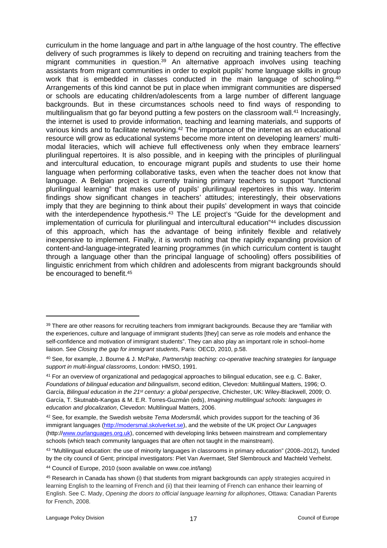curriculum in the home language and part in a/the language of the host country. The effective delivery of such programmes is likely to depend on recruiting and training teachers from the migrant communities in question.<sup>39</sup> An alternative approach involves using teaching assistants from migrant communities in order to exploit pupils' home language skills in group work that is embedded in classes conducted in the main language of schooling.<sup>40</sup> Arrangements of this kind cannot be put in place when immigrant communities are dispersed or schools are educating children/adolescents from a large number of different language backgrounds. But in these circumstances schools need to find ways of responding to multilingualism that go far beyond putting a few posters on the classroom wall.<sup>41</sup> Increasingly, the internet is used to provide information, teaching and learning materials, and supports of various kinds and to facilitate networking.<sup>42</sup> The importance of the internet as an educational resource will grow as educational systems become more intent on developing learners' multimodal literacies, which will achieve full effectiveness only when they embrace learners' plurilingual repertoires. It is also possible, and in keeping with the principles of plurilingual and intercultural education, to encourage migrant pupils and students to use their home language when performing collaborative tasks, even when the teacher does not know that language. A Belgian project is currently training primary teachers to support "functional plurilingual learning" that makes use of pupils' plurilingual repertoires in this way. Interim findings show significant changes in teachers' attitudes; interestingly, their observations imply that they are beginning to think about their pupils' development in ways that coincide with the interdependence hypothesis.<sup>43</sup> The LE project's "Guide for the development and implementation of curricula for plurilingual and intercultural education"<sup>44</sup> includes discussion of this approach, which has the advantage of being infinitely flexible and relatively inexpensive to implement. Finally, it is worth noting that the rapidly expanding provision of content-and-language-integrated learning programmes (in which curriculum content is taught through a language other than the principal language of schooling) offers possibilities of linguistic enrichment from which children and adolescents from migrant backgrounds should be encouraged to benefit.<sup>45</sup>

<sup>39</sup> There are other reasons for recruiting teachers from immigrant backgrounds. Because they are "familiar with the experiences, culture and language of immigrant students [they] can serve as role models and enhance the self-confidence and motivation of immigrant students". They can also play an important role in school–home liaison. See *Closing the gap for immigrant students*, Paris: OECD, 2010, p.58.

<sup>40</sup> See, for example, J. Bourne & J. McPake, *Partnership teaching: co-operative teaching strategies for language support in multi-lingual classrooms*, London: HMSO, 1991.

<sup>41</sup> For an overview of organizational and pedagogical approaches to bilingual education, see e.g. C. Baker, *Foundations of bilingual education and bilingualism*, second edition, Clevedon: Multilingual Matters, 1996; O. García, *Bilingual education in the 21st century: a global perspective*, Chichester, UK: Wiley-Blackwell, 2009; O. García, T. Skutnabb-Kangas & M. E.R. Torres-Guzmán (eds), *Imagining multilingual schools: languages in education and glocalization*, Clevedon: Multilingual Matters, 2006.

<sup>42</sup> See, for example, the Swedish website *Tema Modersmål*, which provides support for the teaching of 36 immigrant languages ([http://modersmal.skolverket.se\)](http://modersmal.skolverket.se), and the website of the UK project *Our Languages*  (http:/[/www.ourlanguages.org.uk](http://www.ourlanguages.org.uk)), concerned with developing links between mainstream and complementary schools (which teach community languages that are often not taught in the mainstream).

<sup>43</sup> "Multilingual education: the use of minority languages in classrooms in primary education" (2008–2012), funded by the city council of Gent; principal investigators: Piet Van Avermaet, Stef Slembrouck and Machteld Verhelst.

<sup>44</sup> Council of Europe, 2010 (soon available on www.coe.int/lang)

<sup>45</sup> Research in Canada has shown (i) that students from migrant backgrounds can apply strategies acquired in learning English to the learning of French and (ii) that their learning of French can enhance their learning of English. See C. Mady, *Opening the doors to official language learning for allophones*, Ottawa: Canadian Parents for French, 2008.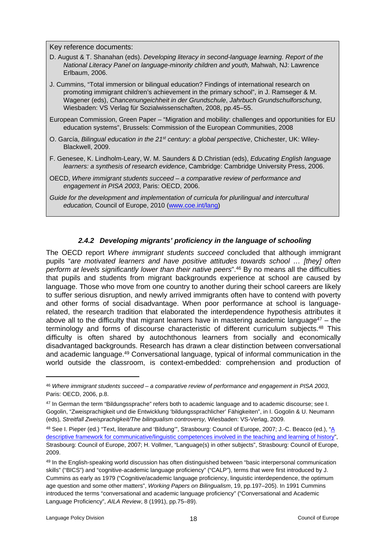Key reference documents:

- D. August & T. Shanahan (eds). *Developing literacy in second-language learning. Report of the National Literacy Panel on language-minority children and youth,* Mahwah, NJ: Lawrence Erlbaum, 2006.
- J. Cummins, "Total immersion or bilingual education? Findings of international research on promoting immigrant children's achievement in the primary school", in J. Ramseger & M. Wagener (eds), *Chancenungeichheit in der Grundschule*, *Jahrbuch Grundschulforschung*, Wiesbaden: VS Verlag für Sozialwissenschaften, 2008, pp.45–55.
- European Commission, Green Paper "Migration and mobility: challenges and opportunities for EU education systems", Brussels: Commission of the European Communities, 2008
- O. García, *Bilingual education in the 21st century: a global perspective*, Chichester, UK: Wiley-Blackwell, 2009.
- F. Genesee, K. Lindholm-Leary, W. M. Saunders & D.Christian (eds), *Educating English language learners: a synthesis of research evidence*, Cambridge: Cambridge University Press, 2006.
- OECD, *Where immigrant students succeed a comparative review of performance and engagement in PISA 2003*, Paris: OECD, 2006.
- *Guide for the development and implementation of curricula for plurilingual and intercultural education,* Council of Europe, 2010 ([www.coe.int/lang](http://www.coe.int/lang))

#### <span id="page-17-0"></span>*2.4.2 Developing migrants' proficiency in the language of schooling*

The OECD report *Where immigrant students succeed* concluded that although immigrant pupils "*are motivated learners and have positive attitudes towards school … [they] often perform at levels significantly lower than their native peers*".<sup>46</sup> By no means all the difficulties that pupils and students from migrant backgrounds experience at school are caused by language. Those who move from one country to another during their school careers are likely to suffer serious disruption, and newly arrived immigrants often have to contend with poverty and other forms of social disadvantage. When poor performance at school is languagerelated, the research tradition that elaborated the interdependence hypothesis attributes it above all to the difficulty that migrant learners have in mastering academic language<sup>47</sup> – the terminology and forms of discourse characteristic of different curriculum subjects.<sup>48</sup> This difficulty is often shared by autochthonous learners from socially and economically disadvantaged backgrounds. Research has drawn a clear distinction between conversational and academic language.<sup>49</sup> Conversational language, typical of informal communication in the world outside the classroom, is context-embedded: comprehension and production of

<sup>46</sup> *Where immigrant students succeed – a comparative review of performance and engagement in PISA 2003*, Paris: OECD, 2006, p.8.

<sup>47</sup> In German the term "Bildungssprache" refers both to academic language and to academic discourse; see I. Gogolin, "Zweisprachigkeit und die Entwicklung 'bildungssprachlicher' Fähigkeiten", in I. Gogolin & U. Neumann (eds)*, Streitfall Zweisprachigkeit/The bilingualism controversy,* Wiesbaden: VS-Verlag, 2009.

<sup>48</sup> See I. Pieper (ed.) "Text, literature and 'Bildung'", Strasbourg: Council of Europe, 2007; J.-C. Beacco (ed.), ["A](http://www.coe.int/t/dg4/linguistic/Source/Source/Prague07_HistoryLAC_EN.doc)  [descriptive framework for communicative/linguistic competences involved in the teaching and learning of history"](http://www.coe.int/t/dg4/linguistic/Source/Source/Prague07_HistoryLAC_EN.doc), Strasbourg: Council of Europe, 2007; H. Vollmer, "Language(s) in other subjects", Strasbourg: Council of Europe, 2009.

<sup>49</sup> In the English-speaking world discussion has often distinguished between "basic interpersonal communication skills" ("BICS") and "cognitive-academic language proficiency" ("CALP"), terms that were first introduced by J. Cummins as early as 1979 ("Cognitive/academic language proficiency, linguistic interdependence, the optimum age question and some other matters", *Working Papers on Bilingualism*, 19, pp.197–205). In 1991 Cummins introduced the terms "conversational and academic language proficiency" ("Conversational and Academic Language Proficiency", *AILA Review*, 8 (1991), pp.75–89).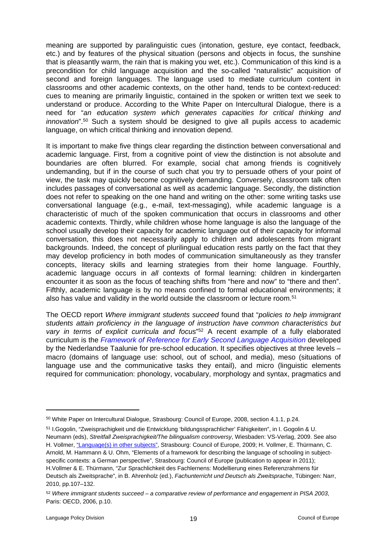meaning are supported by paralinguistic cues (intonation, gesture, eye contact, feedback, etc.) and by features of the physical situation (persons and objects in focus, the sunshine that is pleasantly warm, the rain that is making you wet, etc.). Communication of this kind is a precondition for child language acquisition and the so-called "naturalistic" acquisition of second and foreign languages. The language used to mediate curriculum content in classrooms and other academic contexts, on the other hand, tends to be context-reduced: cues to meaning are primarily linguistic, contained in the spoken or written text we seek to understand or produce. According to the White Paper on Intercultural Dialogue, there is a need for "*an education system which generates capacities for critical thinking and innovation*".<sup>50</sup> Such a system should be designed to give all pupils access to academic language, on which critical thinking and innovation depend.

It is important to make five things clear regarding the distinction between conversational and academic language. First, from a cognitive point of view the distinction is not absolute and boundaries are often blurred. For example, social chat among friends is cognitively undemanding, but if in the course of such chat you try to persuade others of your point of view, the task may quickly become cognitively demanding. Conversely, classroom talk often includes passages of conversational as well as academic language. Secondly, the distinction does not refer to speaking on the one hand and writing on the other: some writing tasks use conversational language (e.g., e-mail, text-messaging), while academic language is a characteristic of much of the spoken communication that occurs in classrooms and other academic contexts. Thirdly, while children whose home language is also the language of the school usually develop their capacity for academic language out of their capacity for informal conversation, this does not necessarily apply to children and adolescents from migrant backgrounds. Indeed, the concept of plurilingual education rests partly on the fact that they may develop proficiency in both modes of communication simultaneously as they transfer concepts, literacy skills and learning strategies from their home language. Fourthly, academic language occurs in *all* contexts of formal learning: children in kindergarten encounter it as soon as the focus of teaching shifts from "here and now" to "there and then". Fifthly, academic language is by no means confined to formal educational environments; it also has value and validity in the world outside the classroom or lecture room.<sup>51</sup>

The OECD report *Where immigrant students succeed* found that "*policies to help immigrant students attain proficiency in the language of instruction have common characteristics but vary in terms of explicit curricula and focus*" <sup>52</sup> A recent example of a fully elaborated curriculum is the *[Framework of Reference for Early Second Language Acquisition](http://www.coe.int/t/dg4/linguistic/Source/LE_texts_Source/Taluunie_en.doc)* developed by the Nederlandse Taalunie for pre-school education. It specifies objectives at three levels – macro (domains of language use: school, out of school, and media), meso (situations of language use and the communicative tasks they entail), and micro (linguistic elements required for communication: phonology, vocabulary, morphology and syntax, pragmatics and

<sup>50</sup> White Paper on Intercultural Dialogue, Strasbourg: Council of Europe, 2008, section 4.1.1, p.24.

<sup>51</sup> I.Gogolin, "Zweisprachigkeit und die Entwicklung 'bildungssprachlicher' Fähigkeiten", in I. Gogolin & U. Neumann (eds), *Streitfall Zweisprachigkeit/The bilingualism controversy*, Wiesbaden: VS-Verlag, 2009. See also H. Vollmer, ["Language\(s\) in other subjects"](http://www.coe.int/t/dg4/linguistic/LangEduc/BoxD2-OtherSub_en.asp#LangOthSubE), Strasbourg: Council of Europe, 2009; H. Vollmer, E. Thürmann, C. Arnold, M. Hammann & U. Ohm, "Elements of a framework for describing the language of schooling in subjectspecific contexts: a German perspective", Strasbourg: Council of Europe (publication to appear in 2011); H.Vollmer & E. Thürmann, "Zur Sprachlichkeit des Fachlernens: Modellierung eines Referenzrahmens für Deutsch als Zweitsprache", in B. Ahrenholz (ed.), *Fachunterricht und Deutsch als Zweitsprache*, Tübingen: Narr, 2010, pp.107–132.

<sup>52</sup> *Where immigrant students succeed – a comparative review of performance and engagement in PISA 2003*, Paris: OECD, 2006, p.10.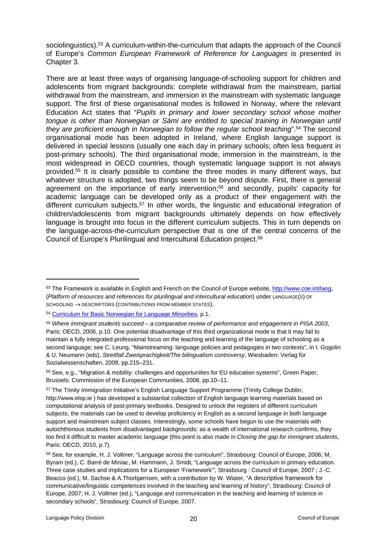sociolinguistics).<sup>53</sup> A curriculum-within-the-curriculum that adapts the approach of the Council of Europe's *Common European Framework of Reference for Languages* is presented in Chapter 3.

There are at least three ways of organising language-of-schooling support for children and adolescents from migrant backgrounds: complete withdrawal from the mainstream, partial withdrawal from the mainstream, and immersion in the mainstream with systematic language support. The first of these organisational modes is followed in Norway, where the relevant Education Act states that "*Pupils in primary and lower secondary school whose mother*  tongue is other than Norwegian or Sámi are entitled to special training in Norwegian until *they are proficient enough in Norwegian to follow the regular school teaching*".<sup>54</sup> The second organisational mode has been adopted in Ireland, where English language support is delivered in special lessons (usually one each day in primary schools; often less frequent in post-primary schools). The third organisational mode, immersion in the mainstream, is the most widespread in OECD countries, though systematic language support is not always provided.<sup>55</sup> It is clearly possible to combine the three modes in many different ways, but whatever structure is adopted, two things seem to be beyond dispute. First, there is general agreement on the importance of early intervention;<sup>56</sup> and secondly, pupils' capacity for academic language can be developed only as a product of their engagement with the different curriculum subjects.<sup>57</sup> In other words, the linguistic and educational integration of children/adolescents from migrant backgrounds ultimately depends on how effectively language is brought into focus in the different curriculum subjects. This in turn depends on the language-across-the-curriculum perspective that is one of the central concerns of the Council of Europe's Plurilingual and Intercultural Education project.<sup>58</sup>

<sup>53</sup> The Framework is available in English and French on the Council of Europe website, [http://www.coe.int/lang,](http://www.coe.int/lang) (*Platform of resources and references for plurilingual and intercultural education*) under LANGUAGE(S) OF  $SCHOOLING \rightarrow DESCRIPTORS (CONTRIBUTIONS FROM MEMBER STATES).$ 

<sup>54</sup> [Curriculum for Basic Norwegian for Language Minorities](http://www.utdanningsdirektoratet.no/upload/larerplaner/Fastsatte_lareplaner_for_Kunnskapsloeftet/english/Basic_Norwegian_for_language_minorities.rtf), p.1.

<sup>55</sup> *Where immigrant students succeed – a comparative review of performance and engagement in PISA 2003*, Paris: OECD, 2006, p.10. One potential disadvantage of this third organizational mode is that it may fail to maintain a fully integrated professional focus on the teaching and learning of the language of schooling as a second language; see C. Leung, "Mainstreaming: language policies and pedagogies in two contexts", in I. Gogolin & U. Neumann (eds), *Streitfall Zweisprachigkeit/The bilingualism controversy*, Wiesbaden: Verlag für Sozialwissenschaften, 2009, pp.215–231.

<sup>56</sup> See, e.g., "Migration & mobility: challenges and opportunities for EU education systems", Green Paper, Brussels: Commission of the European Communities, 2008, pp.10–11.

<sup>&</sup>lt;sup>57</sup> The Trinity Immigration Initiative's English Language Support Programme (Trinity College Dublin; http://www.elsp.ie ) has developed a substantial collection of English language learning materials based on computational analysis of post-primary textbooks. Designed to unlock the registers of different curriculum subjects, the materials can be used to develop proficiency in English as a second language in both language support and mainstream subject classes. Interestingly, some schools have begun to use the materials with autochthonous students from disadvantaged backgrounds: as a wealth of international research confirms, they too find it difficult to master academic language (this point is also made in *Closing the gap for immigrant students*, Paris: OECD, 2010, p.7).

<sup>58</sup> See, for example, H. J. Vollmer, "Language across the curriculum", Strasbourg: Council of Europe, 2006; M. Byram (ed.), C. Barré de Miniac, M. Hammann, J. Smidt, "Language across the curriculum in primary education. Three case studies and implications for a European 'Framework'"*,* Strasbourg : Council of Europe, 2007 ; J.-C. Beacco (ed.), M. Sachse & A.Thorbjørnsen, with a contribution by W. Wiater, "A descriptive framework for communicative/linguistic competences involved in the teaching and learning of history", Strasbourg: Council of Europe, 2007; H. J. Vollmer (ed.), "Language and communication in the teaching and learning of science in secondary schools", Strasbourg: Council of Europe, 2007.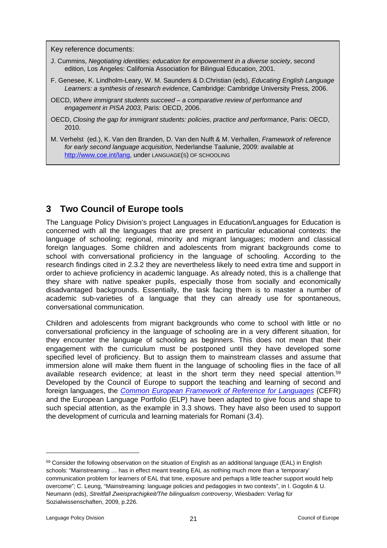Key reference documents:

- J. Cummins, *Negotiating identities: education for empowerment in a diverse society*, second edition, Los Angeles: California Association for Bilingual Education, 2001.
- F. Genesee, K. Lindholm-Leary, W. M. Saunders & D.Christian (eds), *Educating English Language Learners: a synthesis of research evidence*, Cambridge: Cambridge University Press, 2006.
- OECD, *Where immigrant students succeed a comparative review of performance and engagement in PISA 2003*, Paris: OECD, 2006.
- OECD, *Closing the gap for immigrant students: policies, practice and performance*, Paris: OECD, 2010.
- M. Verhelst (ed.), K. Van den Branden, D. Van den Nulft & M. Verhallen, *Framework of reference for early second language acquisition*, Nederlandse Taalunie, 2009: available at [http://www.coe.int/lang,](http://www.coe.int/lang) under LANGUAGE(S) OF SCHOOLING

## <span id="page-20-0"></span>**3 Two Council of Europe tools**

The Language Policy Division's project Languages in Education/Languages for Education is concerned with all the languages that are present in particular educational contexts: the language of schooling; regional, minority and migrant languages; modern and classical foreign languages. Some children and adolescents from migrant backgrounds come to school with conversational proficiency in the language of schooling. According to the research findings cited in 2.3.2 they are nevertheless likely to need extra time and support in order to achieve proficiency in academic language. As already noted, this is a challenge that they share with native speaker pupils, especially those from socially and economically disadvantaged backgrounds. Essentially, the task facing them is to master a number of academic sub-varieties of a language that they can already use for spontaneous, conversational communication.

Children and adolescents from migrant backgrounds who come to school with little or no conversational proficiency in the language of schooling are in a very different situation, for they encounter the language of schooling as beginners. This does not mean that their engagement with the curriculum must be postponed until they have developed some specified level of proficiency. But to assign them to mainstream classes and assume that immersion alone will make them fluent in the language of schooling flies in the face of all available research evidence; at least in the short term they need special attention.<sup>59</sup> Developed by the Council of Europe to support the teaching and learning of second and foreign languages, the *[Common European Framework of Reference for Languages](http://www.coe.int/t/dg4/linguistic/cadre_EN.asp?)* (CEFR) and the European Language Portfolio (ELP) have been adapted to give focus and shape to such special attention, as the example in 3.3 shows. They have also been used to support the development of curricula and learning materials for Romani (3.4).

<sup>59</sup> Consider the following observation on the situation of English as an additional language (EAL) in English schools: "Mainstreaming … has in effect meant treating EAL as nothing much more than a 'temporary' communication problem for learners of EAL that time, exposure and perhaps a little teacher support would help overcome"; C. Leung, "Mainstreaming: language policies and pedagogies in two contexts", in I. Gogolin & U. Neumann (eds), *Streitfall Zweisprachigkeit/The bilingualism controversy*, Wiesbaden: Verlag für Sozialwissenschaften, 2009, p.226.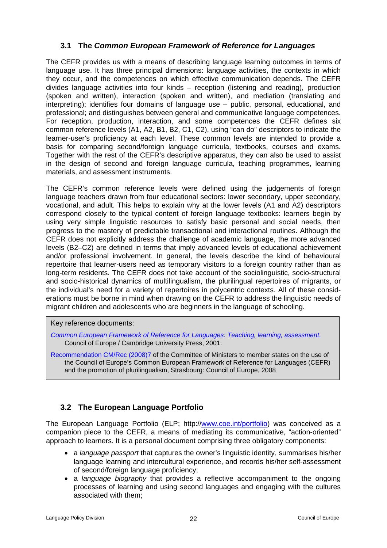### <span id="page-21-0"></span>**3.1 The** *Common European Framework of Reference for Languages*

The CEFR provides us with a means of describing language learning outcomes in terms of language use. It has three principal dimensions: language activities, the contexts in which they occur, and the competences on which effective communication depends. The CEFR divides language activities into four kinds – reception (listening and reading), production (spoken and written), interaction (spoken and written), and mediation (translating and interpreting); identifies four domains of language use – public, personal, educational, and professional; and distinguishes between general and communicative language competences. For reception, production, interaction, and some competences the CEFR defines six common reference levels (A1, A2, B1, B2, C1, C2), using "can do" descriptors to indicate the learner-user's proficiency at each level. These common levels are intended to provide a basis for comparing second/foreign language curricula, textbooks, courses and exams. Together with the rest of the CEFR's descriptive apparatus, they can also be used to assist in the design of second and foreign language curricula, teaching programmes, learning materials, and assessment instruments.

The CEFR's common reference levels were defined using the judgements of foreign language teachers drawn from four educational sectors: lower secondary, upper secondary, vocational, and adult. This helps to explain why at the lower levels (A1 and A2) descriptors correspond closely to the typical content of foreign language textbooks: learners begin by using very simple linguistic resources to satisfy basic personal and social needs, then progress to the mastery of predictable transactional and interactional routines. Although the CEFR does not explicitly address the challenge of academic language, the more advanced levels (B2–C2) are defined in terms that imply advanced levels of educational achievement and/or professional involvement. In general, the levels describe the kind of behavioural repertoire that learner-users need as temporary visitors to a foreign country rather than as long-term residents. The CEFR does not take account of the sociolinguistic, socio-structural and socio-historical dynamics of multilingualism, the plurilingual repertoires of migrants, or the individual's need for a variety of repertoires in polycentric contexts. All of these considerations must be borne in mind when drawing on the CEFR to address the linguistic needs of migrant children and adolescents who are beginners in the language of schooling.

#### Key reference documents:

*[Common European Framework of Reference for Languages: Teaching, learning, assessment](http://www.coe.int/t/dg4/linguistic/CADRE_EN.asp)*, Council of Europe / Cambridge University Press, 2001.

[Recommendation CM/Rec \(2008\)7](http://www.coe.int/t/dg4/linguistic/Source/SourceForum07/Rec%20CM%202008-7_EN.doc) of the Committee of Ministers to member states on the use of the Council of Europe's Common European Framework of Reference for Languages (CEFR) and the promotion of plurilingualism, Strasbourg: Council of Europe, 2008

### <span id="page-21-1"></span>**3.2 The European Language Portfolio**

The European Language Portfolio (ELP; http://[www.coe.int/portfolio](http://www.coe.int/portfolio)) was conceived as a companion piece to the CEFR, a means of mediating its communicative, "action-oriented" approach to learners. It is a personal document comprising three obligatory components:

- a *language passport* that captures the owner's linguistic identity, summarises his/her language learning and intercultural experience, and records his/her self-assessment of second/foreign language proficiency;
- a *language biography* that provides a reflective accompaniment to the ongoing processes of learning and using second languages and engaging with the cultures associated with them;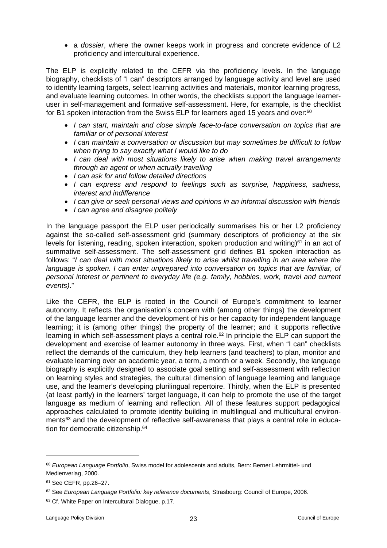a *dossier*, where the owner keeps work in progress and concrete evidence of L2 proficiency and intercultural experience.

The ELP is explicitly related to the CEFR via the proficiency levels. In the language biography, checklists of "I can" descriptors arranged by language activity and level are used to identify learning targets, select learning activities and materials, monitor learning progress, and evaluate learning outcomes. In other words, the checklists support the language learneruser in self-management and formative self-assessment. Here, for example, is the checklist for B1 spoken interaction from the Swiss ELP for learners aged 15 years and over:<sup>60</sup>

- *I can start, maintain and close simple face-to-face conversation on topics that are familiar or of personal interest*
- *I can maintain a conversation or discussion but may sometimes be difficult to follow when trying to say exactly what I would like to do*
- *I can deal with most situations likely to arise when making travel arrangements through an agent or when actually travelling*
- *I can ask for and follow detailed directions*
- *I can express and respond to feelings such as surprise, happiness, sadness, interest and indifference*
- *I can give or seek personal views and opinions in an informal discussion with friends*
- *I can agree and disagree politely*

In the language passport the ELP user periodically summarises his or her L2 proficiency against the so-called self-assessment grid (summary descriptors of proficiency at the six levels for listening, reading, spoken interaction, spoken production and writing) $61$  in an act of summative self-assessment. The self-assessment grid defines B1 spoken interaction as follows: "*I can deal with most situations likely to arise whilst travelling in an area where the language is spoken. I can enter unprepared into conversation on topics that are familiar, of personal interest or pertinent to everyday life (e.g. family, hobbies, work, travel and current events)*."

Like the CEFR, the ELP is rooted in the Council of Europe's commitment to learner autonomy. It reflects the organisation's concern with (among other things) the development of the language learner and the development of his or her capacity for independent language learning; it is (among other things) the property of the learner; and it supports reflective learning in which self-assessment plays a central role.<sup>62</sup> In principle the ELP can support the development and exercise of learner autonomy in three ways. First, when "I can" checklists reflect the demands of the curriculum, they help learners (and teachers) to plan, monitor and evaluate learning over an academic year, a term, a month or a week. Secondly, the language biography is explicitly designed to associate goal setting and self-assessment with reflection on learning styles and strategies, the cultural dimension of language learning and language use, and the learner's developing plurilingual repertoire. Thirdly, when the ELP is presented (at least partly) in the learners' target language, it can help to promote the use of the target language as medium of learning and reflection. All of these features support pedagogical approaches calculated to promote identity building in multilingual and multicultural environments<sup>63</sup> and the development of reflective self-awareness that plays a central role in education for democratic citizenship.<sup>64</sup>

<sup>60</sup> *European Language Portfolio*, Swiss model for adolescents and adults, Bern: Berner Lehrmittel- und Medienverlag, 2000.

<sup>61</sup> See CEFR, pp.26–27.

<sup>62</sup> See *European Language Portfolio: key reference documents*, Strasbourg: Council of Europe, 2006.

<sup>63</sup> Cf. White Paper on Intercultural Dialogue, p.17.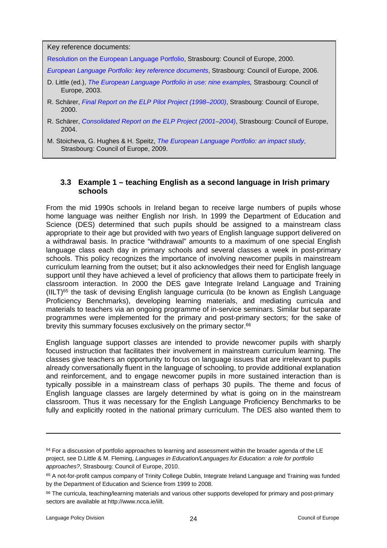Key reference documents:

[Resolution on the European Language Portfolio](http://www.coe.int/T/DG4/Portfolio/?L=E&M=/main_pages/documents.html), Strasbourg: Council of Europe, 2000.

*[European Language Portfolio: key reference](http://www.coe.int/T/DG4/Portfolio/?L=E&M=/main_pages/validation.html) [documents](http://www.coe.int/T/DG4/Portfolio/?L=E&M=/main_pages/validation.html)*, Strasbourg: Council of Europe, 2006.

- D. Little (ed.), *[The European Language Portfolio in use: nine examples](http://www.coe.int/T/DG4/Portfolio/?L=E&M=/main_pages/documents.html),* Strasbourg: Council of Europe, 2003.
- R. Schärer, *[Final Report on the ELP Pilot Project \(1998–2000\)](http://www.coe.int/T/DG4/Portfolio/?L=E&M=/main_pages/documents.html)*, Strasbourg: Council of Europe, 2000.
- R. Schärer, *[Consolidated Report on the ELP Project \(2001–2004\)](http://www.coe.int/T/DG4/Portfolio/?L=E&M=/main_pages/documents.html)*, Strasbourg: Council of Europe, 2004.
- M. Stoicheva, G. Hughes & H. Speitz, *[The European Language Portfolio: an impact study](http://www.coe.int/t/dg4/portfolio/default.asp?l=e&m=/main_pages/welcome.html)*, Strasbourg: Council of Europe, 2009.

#### <span id="page-23-0"></span>**3.3 Example 1 – teaching English as a second language in Irish primary schools**

From the mid 1990s schools in Ireland began to receive large numbers of pupils whose home language was neither English nor Irish. In 1999 the Department of Education and Science (DES) determined that such pupils should be assigned to a mainstream class appropriate to their age but provided with two years of English language support delivered on a withdrawal basis. In practice "withdrawal" amounts to a maximum of one special English language class each day in primary schools and several classes a week in post-primary schools. This policy recognizes the importance of involving newcomer pupils in mainstream curriculum learning from the outset; but it also acknowledges their need for English language support until they have achieved a level of proficiency that allows them to participate freely in classroom interaction. In 2000 the DES gave Integrate Ireland Language and Training  $(III)$ <sup>65</sup> the task of devising English language curricula (to be known as English Language Proficiency Benchmarks), developing learning materials, and mediating curricula and materials to teachers via an ongoing programme of in-service seminars. Similar but separate programmes were implemented for the primary and post-primary sectors; for the sake of brevity this summary focuses exclusively on the primary sector.<sup>66</sup>

English language support classes are intended to provide newcomer pupils with sharply focused instruction that facilitates their involvement in mainstream curriculum learning. The classes give teachers an opportunity to focus on language issues that are irrelevant to pupils already conversationally fluent in the language of schooling, to provide additional explanation and reinforcement, and to engage newcomer pupils in more sustained interaction than is typically possible in a mainstream class of perhaps 30 pupils. The theme and focus of English language classes are largely determined by what is going on in the mainstream classroom. Thus it was necessary for the English Language Proficiency Benchmarks to be fully and explicitly rooted in the national primary curriculum. The DES also wanted them to

<sup>&</sup>lt;sup>64</sup> For a discussion of portfolio approaches to learning and assessment within the broader agenda of the LE project, see D.Little & M. Fleming, *Languages in Education/Languages for Education: a role for portfolio approaches?*, Strasbourg: Council of Europe, 2010.

<sup>&</sup>lt;sup>65</sup> A not-for-profit campus company of Trinity College Dublin, Integrate Ireland Language and Training was funded by the Department of Education and Science from 1999 to 2008.

<sup>66</sup> The curricula, teaching/learning materials and various other supports developed for primary and post-primary sectors are available at http://www.ncca.ie/iilt.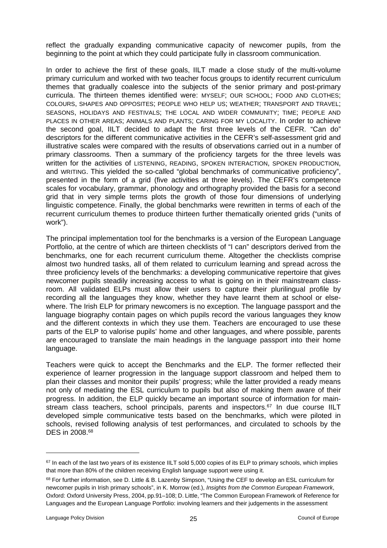reflect the gradually expanding communicative capacity of newcomer pupils, from the beginning to the point at which they could participate fully in classroom communication.

In order to achieve the first of these goals, IILT made a close study of the multi-volume primary curriculum and worked with two teacher focus groups to identify recurrent curriculum themes that gradually coalesce into the subjects of the senior primary and post-primary curricula. The thirteen themes identified were: MYSELF; OUR SCHOOL; FOOD AND CLOTHES; COLOURS, SHAPES AND OPPOSITES; PEOPLE WHO HELP US; WEATHER; TRANSPORT AND TRAVEL; SEASONS, HOLIDAYS AND FESTIVALS; THE LOCAL AND WIDER COMMUNITY; TIME; PEOPLE AND PLACES IN OTHER AREAS; ANIMALS AND PLANTS; CARING FOR MY LOCALITY. In order to achieve the second goal, IILT decided to adapt the first three levels of the CEFR. "Can do" descriptors for the different communicative activities in the CEFR's self-assessment grid and illustrative scales were compared with the results of observations carried out in a number of primary classrooms. Then a summary of the proficiency targets for the three levels was written for the activities of LISTENING, READING, SPOKEN INTERACTION, SPOKEN PRODUCTION, and WRITING. This yielded the so-called "global benchmarks of communicative proficiency", presented in the form of a grid (five activities at three levels). The CEFR's competence scales for vocabulary, grammar, phonology and orthography provided the basis for a second grid that in very simple terms plots the growth of those four dimensions of underlying linguistic competence. Finally, the global benchmarks were rewritten in terms of each of the recurrent curriculum themes to produce thirteen further thematically oriented grids ("units of work").

The principal implementation tool for the benchmarks is a version of the European Language Portfolio, at the centre of which are thirteen checklists of "I can" descriptors derived from the benchmarks, one for each recurrent curriculum theme. Altogether the checklists comprise almost two hundred tasks, all of them related to curriculum learning and spread across the three proficiency levels of the benchmarks: a developing communicative repertoire that gives newcomer pupils steadily increasing access to what is going on in their mainstream classroom. All validated ELPs must allow their users to capture their plurilingual profile by recording all the languages they know, whether they have learnt them at school or elsewhere. The Irish ELP for primary newcomers is no exception. The language passport and the language biography contain pages on which pupils record the various languages they know and the different contexts in which they use them. Teachers are encouraged to use these parts of the ELP to valorise pupils' home and other languages, and where possible, parents are encouraged to translate the main headings in the language passport into their home language.

Teachers were quick to accept the Benchmarks and the ELP. The former reflected their experience of learner progression in the language support classroom and helped them to plan their classes and monitor their pupils' progress; while the latter provided a ready means not only of mediating the ESL curriculum to pupils but also of making them aware of their progress. In addition, the ELP quickly became an important source of information for mainstream class teachers, school principals, parents and inspectors.<sup>67</sup> In due course IILT developed simple communicative tests based on the benchmarks, which were piloted in schools, revised following analysis of test performances, and circulated to schools by the DES in 2008.<sup>68</sup>

 $67$  In each of the last two years of its existence IILT sold 5,000 copies of its ELP to primary schools, which implies that more than 80% of the children receiving English language support were using it.

<sup>68</sup> For further information, see D. Little & B. Lazenby Simpson, "Using the CEF to develop an ESL curriculum for newcomer pupils in Irish primary schools", in K. Morrow (ed.), *Insights from the Common European Framework*, Oxford: Oxford University Press, 2004, pp.91–108; D. Little, "The Common European Framework of Reference for Languages and the European Language Portfolio: involving learners and their judgements in the assessment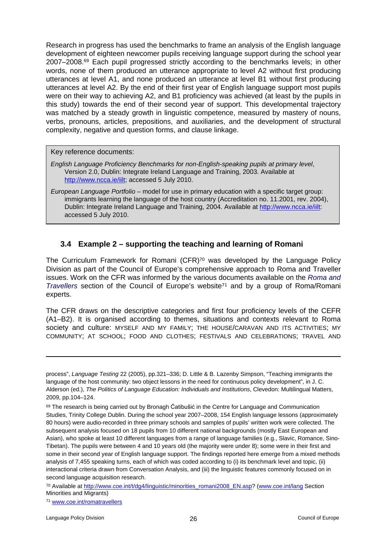Research in progress has used the benchmarks to frame an analysis of the English language development of eighteen newcomer pupils receiving language support during the school year 2007–2008.<sup>69</sup> Each pupil progressed strictly according to the benchmarks levels; in other words, none of them produced an utterance appropriate to level A2 without first producing utterances at level A1, and none produced an utterance at level B1 without first producing utterances at level A2. By the end of their first year of English language support most pupils were on their way to achieving A2, and B1 proficiency was achieved (at least by the pupils in this study) towards the end of their second year of support. This developmental trajectory was matched by a steady growth in linguistic competence, measured by mastery of nouns, verbs, pronouns, articles, prepositions, and auxiliaries, and the development of structural complexity, negative and question forms, and clause linkage.

#### Key reference documents:

- *English Language Proficiency Benchmarks for non-English-speaking pupils at primary level*, Version 2.0, Dublin: Integrate Ireland Language and Training, 2003. Available at [http://www.ncca.ie/iilt;](http://www.ncca.ie/iilt) accessed 5 July 2010.
- *European Language Portfolio* model for use in primary education with a specific target group: immigrants learning the language of the host country (Accreditation no. 11.2001, rev. 2004), Dublin: Integrate Ireland Language and Training, 2004. Available at [http://www.ncca.ie/iilt:](http://www.ncca.ie/iilt) accessed 5 July 2010.

#### <span id="page-25-0"></span>**3.4 Example 2 – supporting the teaching and learning of Romani**

The Curriculum Framework for Romani (CFR)<sup>70</sup> was developed by the Language Policy Division as part of the Council of Europe's comprehensive approach to Roma and Traveller issues. Work on the CFR was informed by the various documents available on the *[Roma and](http://www.coe.int/t/dg3/romatravellers/Default_en.asp)  [Travellers](http://www.coe.int/t/dg3/romatravellers/Default_en.asp)* section of the Council of Europe's website<sup>71</sup> and by a group of Roma/Romani experts.

The CFR draws on the descriptive categories and first four proficiency levels of the CEFR (A1–B2). It is organised according to themes, situations and contexts relevant to Roma society and culture: MYSELF AND MY FAMILY; THE HOUSE/CARAVAN AND ITS ACTIVITIES; MY COMMUNITY; AT SCHOOL; FOOD AND CLOTHES; FESTIVALS AND CELEBRATIONS; TRAVEL AND

process", *Language Testing* 22 (2005), pp.321–336; D. Little & B. Lazenby Simpson, "Teaching immigrants the language of the host community: two object lessons in the need for continuous policy development", in J. C. Alderson (ed.), *The Politics of Language Education: Individuals and Institutions*, Clevedon: Multilingual Matters, 2009, pp.104–124.

 $69$  The research is being carried out by Bronagh Ćatibušić in the Centre for Language and Communication Studies, Trinity College Dublin. During the school year 2007–2008, 154 English language lessons (approximately 80 hours) were audio-recorded in three primary schools and samples of pupils' written work were collected. The subsequent analysis focused on 18 pupils from 10 different national backgrounds (mostly East European and Asian), who spoke at least 10 different languages from a range of language families (e.g., Slavic, Romance, Sino-Tibetan). The pupils were between 4 and 10 years old (the majority were under 8); some were in their first and some in their second year of English language support. The findings reported here emerge from a mixed methods analysis of 7,455 speaking turns, each of which was coded according to (i) its benchmark level and topic, (ii) interactional criteria drawn from Conversation Analysis, and (iii) the linguistic features commonly focused on in second language acquisition research.

<sup>70</sup> Available at [http://www.coe.int/t/dg4/linguistic/minorities\\_romani2008\\_EN.asp?](http://www.coe.int/t/dg4/linguistic/minorities_romani2008_EN.asp) [\(www.coe.int/lang](http://www.coe.int/lang) Section Minorities and Migrants)

<sup>71</sup> [www.coe.int/romatravellers](http://www.coe.int/romatravellers)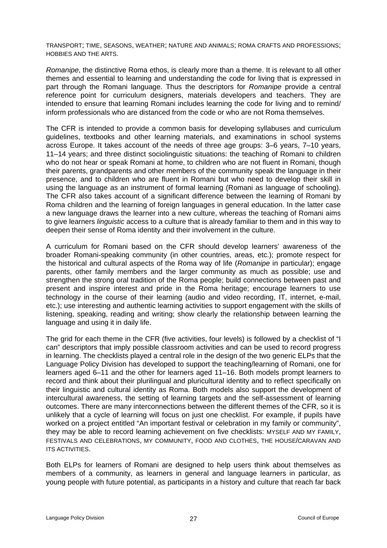TRANSPORT; TIME, SEASONS, WEATHER; NATURE AND ANIMALS; ROMA CRAFTS AND PROFESSIONS; HOBBIES AND THE ARTS.

*Romanipe*, the distinctive Roma ethos, is clearly more than a theme. It is relevant to all other themes and essential to learning and understanding the code for living that is expressed in part through the Romani language. Thus the descriptors for *Romanipe* provide a central reference point for curriculum designers, materials developers and teachers. They are intended to ensure that learning Romani includes learning the code for living and to remind/ inform professionals who are distanced from the code or who are not Roma themselves.

The CFR is intended to provide a common basis for developing syllabuses and curriculum guidelines, textbooks and other learning materials, and examinations in school systems across Europe. It takes account of the needs of three age groups: 3–6 years, 7–10 years, 11–14 years; and three distinct sociolinguistic situations: the teaching of Romani to children who do not hear or speak Romani at home, to children who are not fluent in Romani, though their parents, grandparents and other members of the community speak the language in their presence, and to children who are fluent in Romani but who need to develop their skill in using the language as an instrument of formal learning (Romani as language of schooling). The CFR also takes account of a significant difference between the learning of Romani by Roma children and the learning of foreign languages in general education. In the latter case a new language draws the learner into a new culture, whereas the teaching of Romani aims to give learners *linguistic* access to a culture that is already familiar to them and in this way to deepen their sense of Roma identity and their involvement in the culture.

A curriculum for Romani based on the CFR should develop learners' awareness of the broader Romani-speaking community (in other countries, areas, etc.); promote respect for the historical and cultural aspects of the Roma way of life (*Romanipe* in particular); engage parents, other family members and the larger community as much as possible; use and strengthen the strong oral tradition of the Roma people; build connections between past and present and inspire interest and pride in the Roma heritage; encourage learners to use technology in the course of their learning (audio and video recording, IT, internet, e-mail, etc.); use interesting and authentic learning activities to support engagement with the skills of listening, speaking, reading and writing; show clearly the relationship between learning the language and using it in daily life.

The grid for each theme in the CFR (five activities, four levels) is followed by a checklist of "I can" descriptors that imply possible classroom activities and can be used to record progress in learning. The checklists played a central role in the design of the two generic ELPs that the Language Policy Division has developed to support the teaching/learning of Romani, one for learners aged 6–11 and the other for learners aged 11–16. Both models prompt learners to record and think about their plurilingual and pluricultural identity and to reflect specifically on their linguistic and cultural identity as Roma. Both models also support the development of intercultural awareness, the setting of learning targets and the self-assessment of learning outcomes. There are many interconnections between the different themes of the CFR, so it is unlikely that a cycle of learning will focus on just one checklist. For example, if pupils have worked on a project entitled "An important festival or celebration in my family or community", they may be able to record learning achievement on five checklists: MYSELF AND MY FAMILY, FESTIVALS AND CELEBRATIONS, MY COMMUNITY, FOOD AND CLOTHES, THE HOUSE/CARAVAN AND ITS ACTIVITIES.

Both ELPs for learners of Romani are designed to help users think about themselves as members of a community, as learners in general and language learners in particular, as young people with future potential, as participants in a history and culture that reach far back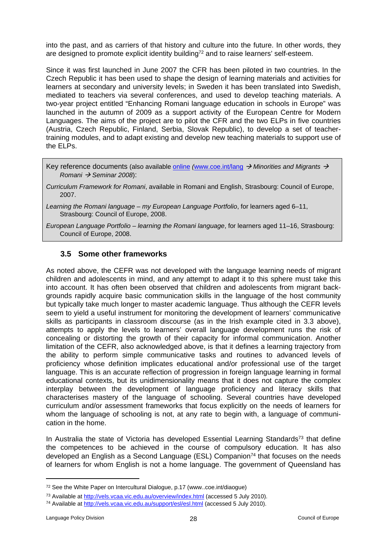into the past, and as carriers of that history and culture into the future. In other words, they are designed to promote explicit identity building<sup>72</sup> and to raise learners' self-esteem.

Since it was first launched in June 2007 the CFR has been piloted in two countries. In the Czech Republic it has been used to shape the design of learning materials and activities for learners at secondary and university levels; in Sweden it has been translated into Swedish, mediated to teachers via several conferences, and used to develop teaching materials. A two-year project entitled "Enhancing Romani language education in schools in Europe" was launched in the autumn of 2009 as a support activity of the European Centre for Modern Languages. The aims of the project are to pilot the CFR and the two ELPs in five countries (Austria, Czech Republic, Finland, Serbia, Slovak Republic), to develop a set of teachertraining modules, and to adapt existing and develop new teaching materials to support use of the ELPs.

Key reference documents (also available [online](http://www.coe.int/t/dg4/linguistic/Minorities_Romani_Pub_EN.asp#TopOfPage) *(*[www.coe.int/lang](http://www.coe.int/lang)  *Minorities and Migrants Romani Seminar 2008*):

*Curriculum Framework for Romani*, available in Romani and English, Strasbourg: Council of Europe, 2007.

*Learning the Romani language – my European Language Portfolio*, for learners aged 6–11, Strasbourg: Council of Europe, 2008.

*European Language Portfolio – learning the Romani language*, for learners aged 11–16, Strasbourg: Council of Europe, 2008.

#### <span id="page-27-0"></span>**3.5 Some other frameworks**

As noted above, the CEFR was not developed with the language learning needs of migrant children and adolescents in mind, and any attempt to adapt it to this sphere must take this into account. It has often been observed that children and adolescents from migrant backgrounds rapidly acquire basic communication skills in the language of the host community but typically take much longer to master academic language. Thus although the CEFR levels seem to yield a useful instrument for monitoring the development of learners' communicative skills as participants in classroom discourse (as in the Irish example cited in 3.3 above), attempts to apply the levels to learners' overall language development runs the risk of concealing or distorting the growth of their capacity for informal communication. Another limitation of the CEFR, also acknowledged above, is that it defines a learning trajectory from the ability to perform simple communicative tasks and routines to advanced levels of proficiency whose definition implicates educational and/or professional use of the target language. This is an accurate reflection of progression in foreign language learning in formal educational contexts, but its unidimensionality means that it does not capture the complex interplay between the development of language proficiency and literacy skills that characterises mastery of the language of schooling. Several countries have developed curriculum and/or assessment frameworks that focus explicitly on the needs of learners for whom the language of schooling is not, at any rate to begin with, a language of communication in the home.

In Australia the state of Victoria has developed Essential Learning Standards<sup>73</sup> that define the competences to be achieved in the course of compulsory education. It has also developed an English as a Second Language (ESL) Companion<sup>74</sup> that focuses on the needs of learners for whom English is not a home language. The government of Queensland has

<sup>72</sup> See the White Paper on Intercultural Dialogue, p.17 (www..coe.int/diaogue)

<sup>73</sup> Available at<http://vels.vcaa.vic.edu.au/overview/index.html> (accessed 5 July 2010).

<sup>74</sup> Available at<http://vels.vcaa.vic.edu.au/support/esl/esl.html>(accessed 5 July 2010).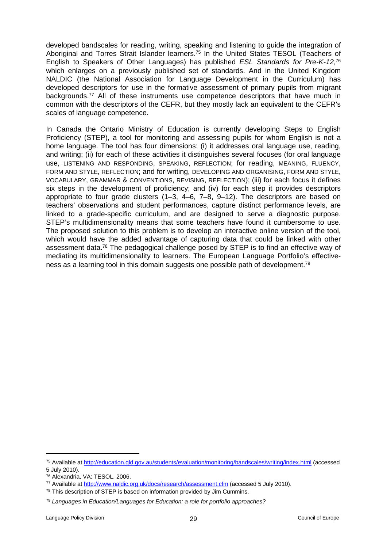developed bandscales for reading, writing, speaking and listening to guide the integration of Aboriginal and Torres Strait Islander learners.<sup>75</sup> In the United States TESOL (Teachers of English to Speakers of Other Languages) has published *ESL Standards for Pre-K-12*, 76 which enlarges on a previously published set of standards. And in the United Kingdom NALDIC (the National Association for Language Development in the Curriculum) has developed descriptors for use in the formative assessment of primary pupils from migrant backgrounds.<sup>77</sup> All of these instruments use competence descriptors that have much in common with the descriptors of the CEFR, but they mostly lack an equivalent to the CEFR's scales of language competence.

In Canada the Ontario Ministry of Education is currently developing Steps to English Proficiency (STEP), a tool for monitoring and assessing pupils for whom English is not a home language. The tool has four dimensions: (i) it addresses oral language use, reading, and writing; (ii) for each of these activities it distinguishes several focuses (for oral language use, LISTENING AND RESPONDING, SPEAKING, REFLECTION; for reading, MEANING, FLUENCY, FORM AND STYLE, REFLECTION; and for writing, DEVELOPING AND ORGANISING, FORM AND STYLE, VOCABULARY, GRAMMAR & CONVENTIONS, REVISING, REFLECTION); (iii) for each focus it defines six steps in the development of proficiency; and (iv) for each step it provides descriptors appropriate to four grade clusters (1–3, 4–6, 7–8, 9–12). The descriptors are based on teachers' observations and student performances, capture distinct performance levels, are linked to a grade-specific curriculum, and are designed to serve a diagnostic purpose. STEP's multidimensionality means that some teachers have found it cumbersome to use. The proposed solution to this problem is to develop an interactive online version of the tool, which would have the added advantage of capturing data that could be linked with other assessment data.<sup>78</sup> The pedagogical challenge posed by STEP is to find an effective way of mediating its multidimensionality to learners. The European Language Portfolio's effectiveness as a learning tool in this domain suggests one possible path of development.<sup>79</sup>

<sup>75</sup> Available at<http://education.qld.gov.au/students/evaluation/monitoring/bandscales/writing/index.html> (accessed 5 July 2010).

<sup>76</sup> Alexandria, VA: TESOL, 2006.

<sup>77</sup> Available at<http://www.naldic.org.uk/docs/research/assessment.cfm> (accessed 5 July 2010).

<sup>78</sup> This description of STEP is based on information provided by Jim Cummins.

<sup>79</sup> *Languages in Education/Languages for Education: a role for portfolio approaches?*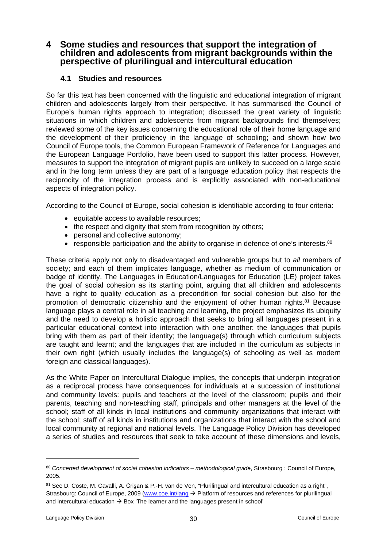### <span id="page-29-0"></span>**4 Some studies and resources that support the integration of children and adolescents from migrant backgrounds within the perspective of plurilingual and intercultural education**

#### <span id="page-29-1"></span>**4.1 Studies and resources**

So far this text has been concerned with the linguistic and educational integration of migrant children and adolescents largely from their perspective. It has summarised the Council of Europe's human rights approach to integration; discussed the great variety of linguistic situations in which children and adolescents from migrant backgrounds find themselves; reviewed some of the key issues concerning the educational role of their home language and the development of their proficiency in the language of schooling; and shown how two Council of Europe tools, the Common European Framework of Reference for Languages and the European Language Portfolio, have been used to support this latter process. However, measures to support the integration of migrant pupils are unlikely to succeed on a large scale and in the long term unless they are part of a language education policy that respects the reciprocity of the integration process and is explicitly associated with non-educational aspects of integration policy.

According to the Council of Europe, social cohesion is identifiable according to four criteria:

- equitable access to available resources:
- the respect and dignity that stem from recognition by others;
- personal and collective autonomy;
- **•** responsible participation and the ability to organise in defence of one's interests.<sup>80</sup>

These criteria apply not only to disadvantaged and vulnerable groups but to *all* members of society; and each of them implicates language, whether as medium of communication or badge of identity. The Languages in Education/Languages for Education (LE) project takes the goal of social cohesion as its starting point, arguing that all children and adolescents have a right to quality education as a precondition for social cohesion but also for the promotion of democratic citizenship and the enjoyment of other human rights.<sup>81</sup> Because language plays a central role in all teaching and learning, the project emphasizes its ubiquity and the need to develop a holistic approach that seeks to bring all languages present in a particular educational context into interaction with one another: the languages that pupils bring with them as part of their identity; the language(s) through which curriculum subjects are taught and learnt; and the languages that are included in the curriculum as subjects in their own right (which usually includes the language(s) of schooling as well as modern foreign and classical languages).

As the White Paper on Intercultural Dialogue implies, the concepts that underpin integration as a reciprocal process have consequences for individuals at a succession of institutional and community levels: pupils and teachers at the level of the classroom; pupils and their parents, teaching and non-teaching staff, principals and other managers at the level of the school; staff of all kinds in local institutions and community organizations that interact with the school; staff of all kinds in institutions and organizations that interact with the school and local community at regional and national levels. The Language Policy Division has developed a series of studies and resources that seek to take account of these dimensions and levels,

<sup>80</sup> *Concerted development of social cohesion indicators – methodological guide*, Strasbourg : Council of Europe, 2005.

<sup>81</sup> See D. Coste, M. Cavalli, A. Crisan & P.-H. van de Ven, "Plurilingual and intercultural education as a right", Strasbourg: Council of Europe, 2009 ([www.coe.int/lang](http://www.coe.int/lang) → Platform of resources and references for plurilingual and intercultural education  $\rightarrow$  Box 'The learner and the languages present in school'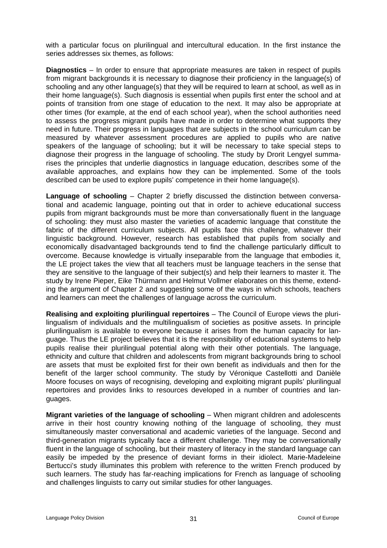with a particular focus on plurilingual and intercultural education. In the first instance the series addresses six themes, as follows:

**Diagnostics** – In order to ensure that appropriate measures are taken in respect of pupils from migrant backgrounds it is necessary to diagnose their proficiency in the language(s) of schooling and any other language(s) that they will be required to learn at school, as well as in their home language(s). Such diagnosis is essential when pupils first enter the school and at points of transition from one stage of education to the next. It may also be appropriate at other times (for example, at the end of each school year), when the school authorities need to assess the progress migrant pupils have made in order to determine what supports they need in future. Their progress in languages that are subjects in the school curriculum can be measured by whatever assessment procedures are applied to pupils who are native speakers of the language of schooling; but it will be necessary to take special steps to diagnose their progress in the language of schooling. The study by Drorit Lengyel summarises the principles that underlie diagnostics in language education, describes some of the available approaches, and explains how they can be implemented. Some of the tools described can be used to explore pupils' competence in their home language(s).

**Language of schooling** – Chapter 2 briefly discussed the distinction between conversational and academic language, pointing out that in order to achieve educational success pupils from migrant backgrounds must be more than conversationally fluent in the language of schooling: they must also master the varieties of academic language that constitute the fabric of the different curriculum subjects. All pupils face this challenge, whatever their linguistic background. However, research has established that pupils from socially and economically disadvantaged backgrounds tend to find the challenge particularly difficult to overcome. Because knowledge is virtually inseparable from the language that embodies it, the LE project takes the view that all teachers must be language teachers in the sense that they are sensitive to the language of their subject(s) and help their learners to master it. The study by Irene Pieper, Eike Thürmann and Helmut Vollmer elaborates on this theme, extending the argument of Chapter 2 and suggesting some of the ways in which schools, teachers and learners can meet the challenges of language across the curriculum.

**Realising and exploiting plurilingual repertoires** – The Council of Europe views the plurilingualism of individuals and the multilingualism of societies as positive assets. In principle plurilingualism is available to everyone because it arises from the human capacity for language. Thus the LE project believes that it is the responsibility of educational systems to help pupils realise their plurilingual potential along with their other potentials. The language, ethnicity and culture that children and adolescents from migrant backgrounds bring to school are assets that must be exploited first for their own benefit as individuals and then for the benefit of the larger school community. The study by Véronique Castellotti and Danièle Moore focuses on ways of recognising, developing and exploiting migrant pupils' plurilingual repertoires and provides links to resources developed in a number of countries and languages.

**Migrant varieties of the language of schooling** – When migrant children and adolescents arrive in their host country knowing nothing of the language of schooling, they must simultaneously master conversational and academic varieties of the language. Second and third-generation migrants typically face a different challenge. They may be conversationally fluent in the language of schooling, but their mastery of literacy in the standard language can easily be impeded by the presence of deviant forms in their idiolect. Marie-Madeleine Bertucci's study illuminates this problem with reference to the written French produced by such learners. The study has far-reaching implications for French as language of schooling and challenges linguists to carry out similar studies for other languages.